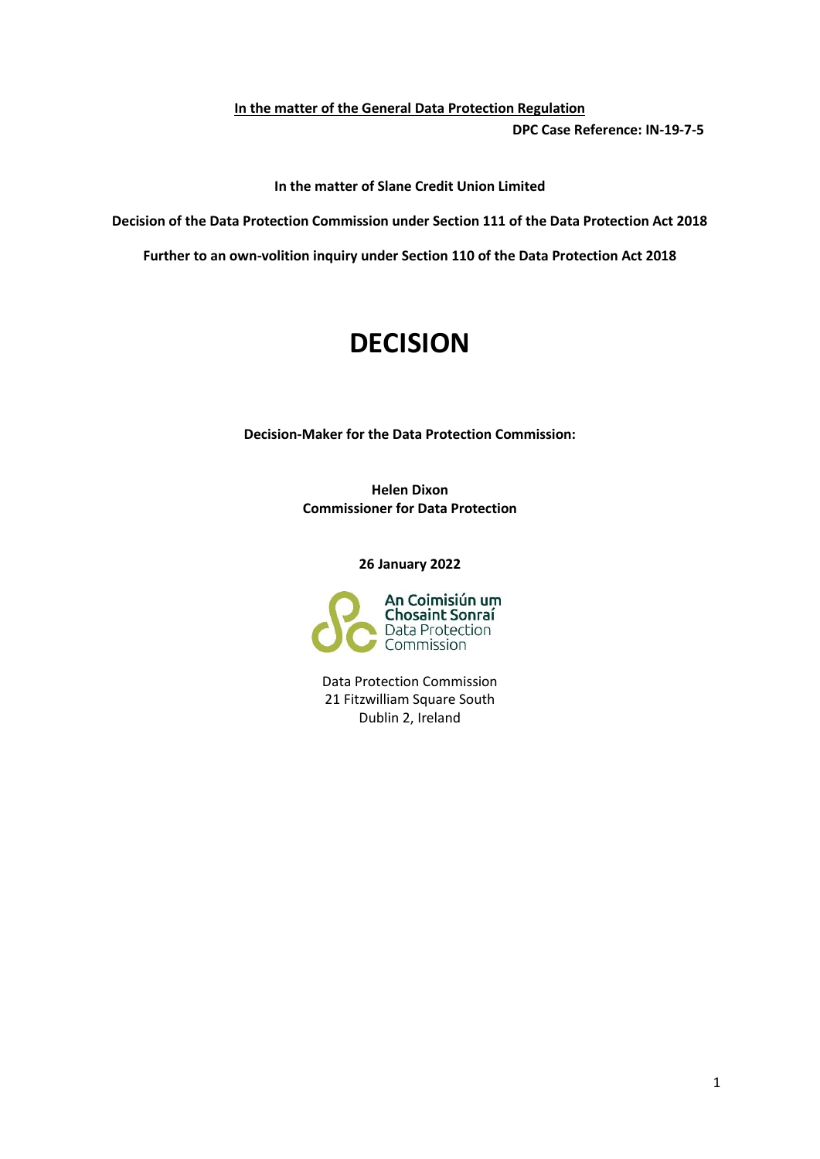**In the matter of the General Data Protection Regulation DPC Case Reference: IN-19-7-5**

**In the matter of Slane Credit Union Limited**

**Decision of the Data Protection Commission under Section 111 of the Data Protection Act 2018** 

**Further to an own-volition inquiry under Section 110 of the Data Protection Act 2018**

# **DECISION**

**Decision-Maker for the Data Protection Commission:**

**Helen Dixon Commissioner for Data Protection**

**26 January 2022**



Data Protection Commission 21 Fitzwilliam Square South Dublin 2, Ireland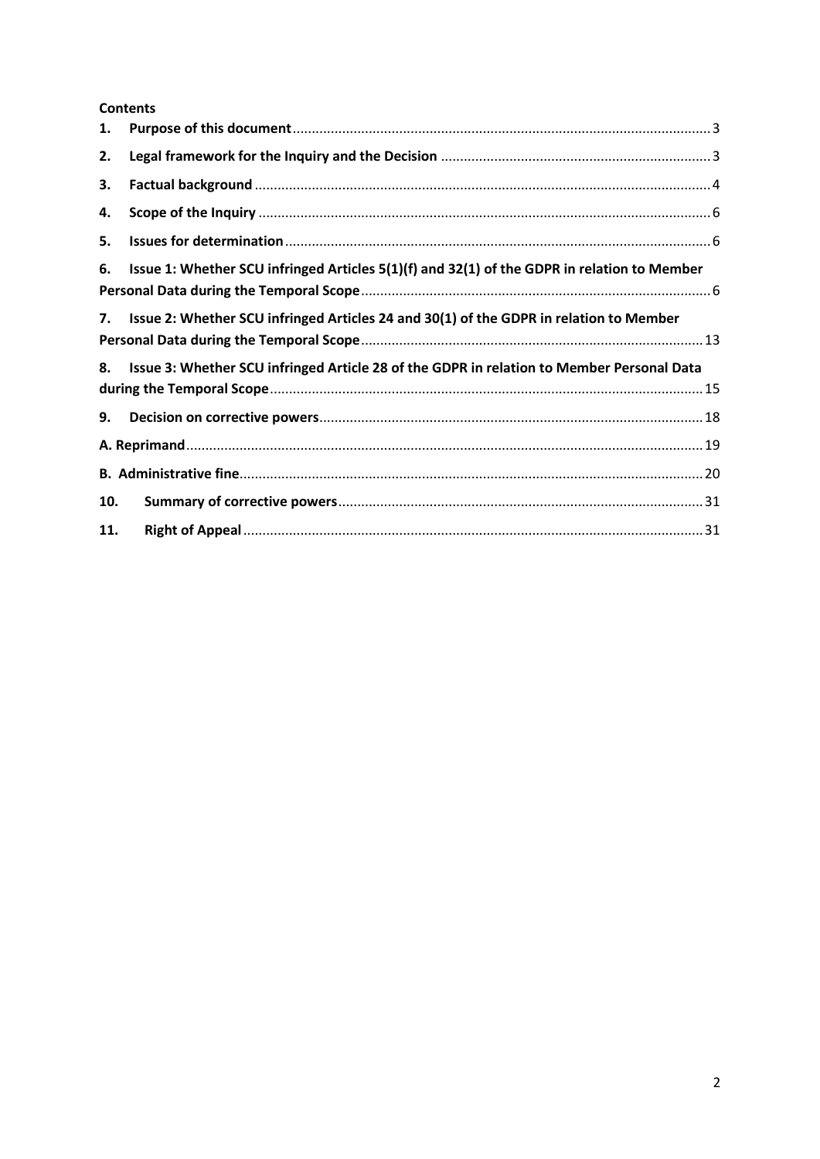### **Contents**

| 1.  |                                                                                             |  |
|-----|---------------------------------------------------------------------------------------------|--|
| 2.  |                                                                                             |  |
| З.  |                                                                                             |  |
| 4.  |                                                                                             |  |
| 5.  |                                                                                             |  |
| 6.  | Issue 1: Whether SCU infringed Articles 5(1)(f) and 32(1) of the GDPR in relation to Member |  |
| 7.  | Issue 2: Whether SCU infringed Articles 24 and 30(1) of the GDPR in relation to Member      |  |
| 8.  | Issue 3: Whether SCU infringed Article 28 of the GDPR in relation to Member Personal Data   |  |
| 9.  |                                                                                             |  |
|     |                                                                                             |  |
|     |                                                                                             |  |
| 10. |                                                                                             |  |
| 11. |                                                                                             |  |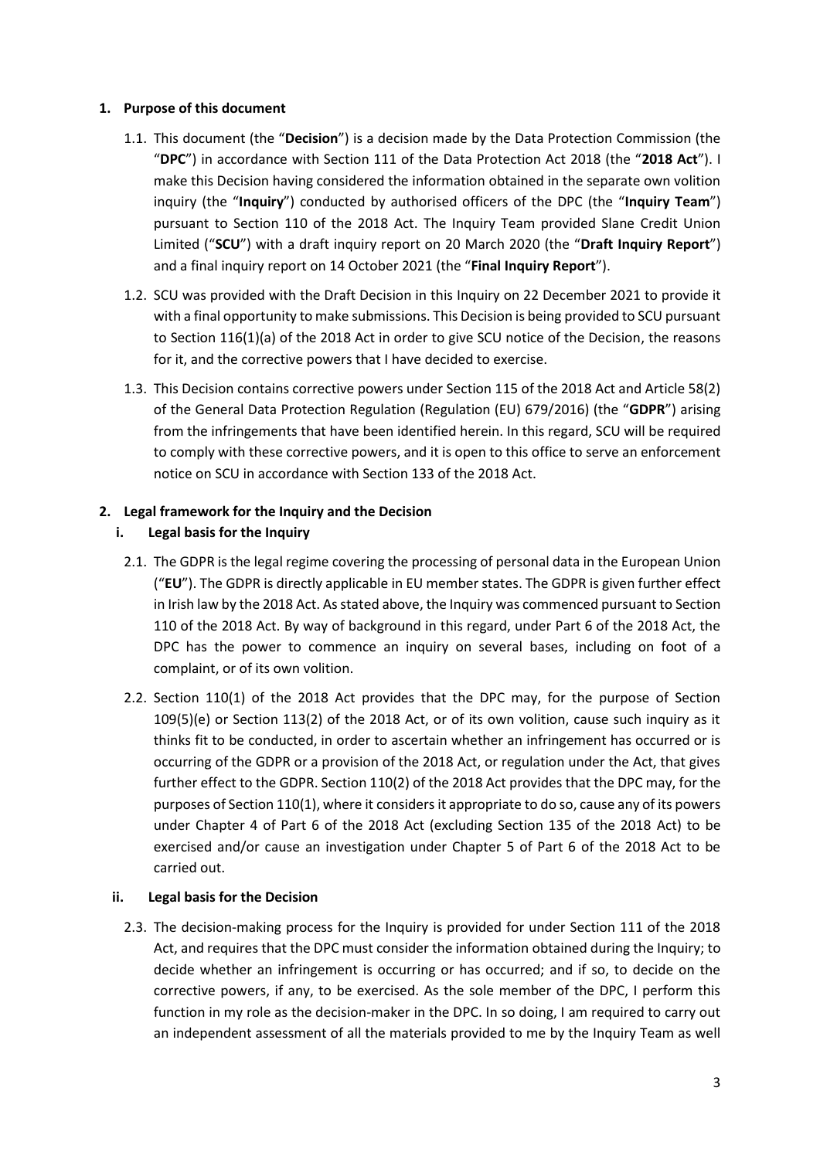### <span id="page-2-0"></span>**1. Purpose of this document**

- 1.1. This document (the "**Decision**") is a decision made by the Data Protection Commission (the "**DPC**") in accordance with Section 111 of the Data Protection Act 2018 (the "**2018 Act**"). I make this Decision having considered the information obtained in the separate own volition inquiry (the "**Inquiry**") conducted by authorised officers of the DPC (the "**Inquiry Team**") pursuant to Section 110 of the 2018 Act. The Inquiry Team provided Slane Credit Union Limited ("**SCU**") with a draft inquiry report on 20 March 2020 (the "**Draft Inquiry Report**") and a final inquiry report on 14 October 2021 (the "**Final Inquiry Report**").
- 1.2. SCU was provided with the Draft Decision in this Inquiry on 22 December 2021 to provide it with a final opportunity to make submissions. This Decision is being provided to SCU pursuant to Section 116(1)(a) of the 2018 Act in order to give SCU notice of the Decision, the reasons for it, and the corrective powers that I have decided to exercise.
- 1.3. This Decision contains corrective powers under Section 115 of the 2018 Act and Article 58(2) of the General Data Protection Regulation (Regulation (EU) 679/2016) (the "**GDPR**") arising from the infringements that have been identified herein. In this regard, SCU will be required to comply with these corrective powers, and it is open to this office to serve an enforcement notice on SCU in accordance with Section 133 of the 2018 Act.

### <span id="page-2-1"></span>**2. Legal framework for the Inquiry and the Decision**

### **i. Legal basis for the Inquiry**

- 2.1. The GDPR is the legal regime covering the processing of personal data in the European Union ("**EU**"). The GDPR is directly applicable in EU member states. The GDPR is given further effect in Irish law by the 2018 Act. As stated above, the Inquiry was commenced pursuant to Section 110 of the 2018 Act. By way of background in this regard, under Part 6 of the 2018 Act, the DPC has the power to commence an inquiry on several bases, including on foot of a complaint, or of its own volition.
- 2.2. Section 110(1) of the 2018 Act provides that the DPC may, for the purpose of Section 109(5)(e) or Section 113(2) of the 2018 Act, or of its own volition, cause such inquiry as it thinks fit to be conducted, in order to ascertain whether an infringement has occurred or is occurring of the GDPR or a provision of the 2018 Act, or regulation under the Act, that gives further effect to the GDPR. Section 110(2) of the 2018 Act provides that the DPC may, for the purposes of Section 110(1), where it considers it appropriate to do so, cause any of its powers under Chapter 4 of Part 6 of the 2018 Act (excluding Section 135 of the 2018 Act) to be exercised and/or cause an investigation under Chapter 5 of Part 6 of the 2018 Act to be carried out.

### **ii. Legal basis for the Decision**

2.3. The decision-making process for the Inquiry is provided for under Section 111 of the 2018 Act, and requires that the DPC must consider the information obtained during the Inquiry; to decide whether an infringement is occurring or has occurred; and if so, to decide on the corrective powers, if any, to be exercised. As the sole member of the DPC, I perform this function in my role as the decision-maker in the DPC. In so doing, I am required to carry out an independent assessment of all the materials provided to me by the Inquiry Team as well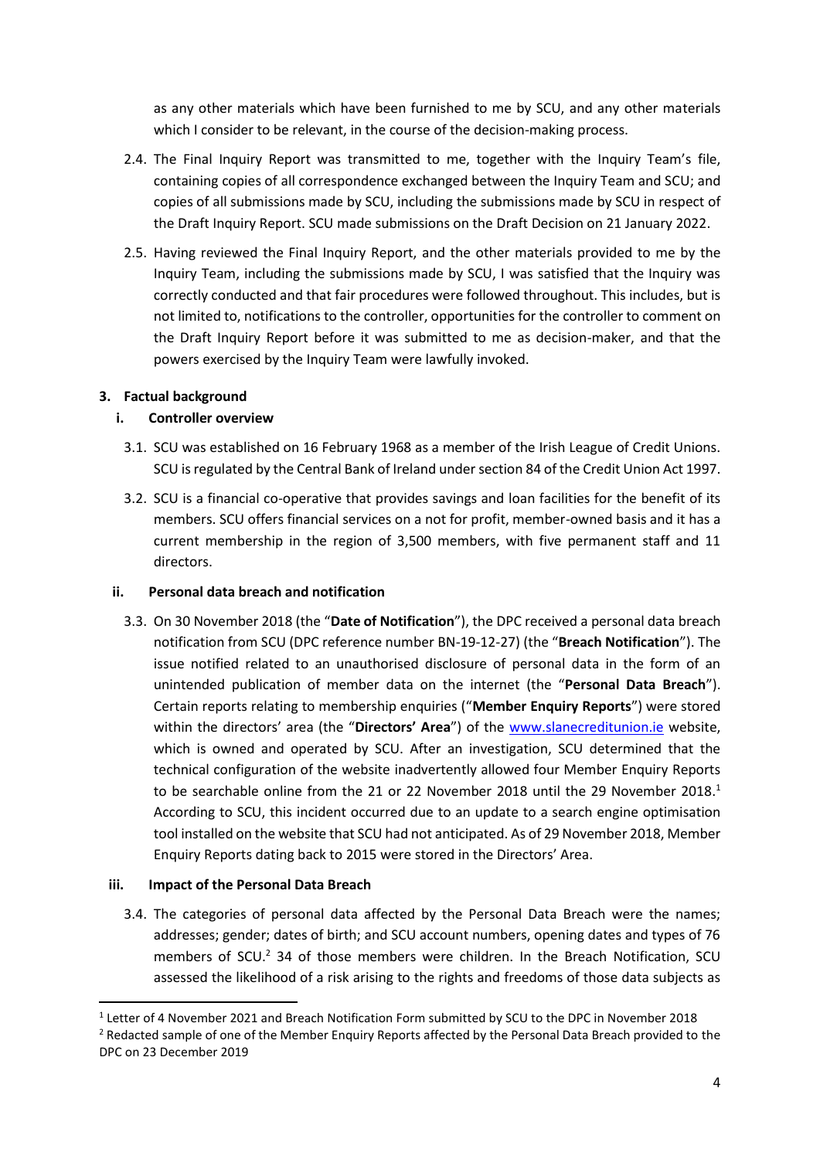as any other materials which have been furnished to me by SCU, and any other materials which I consider to be relevant, in the course of the decision-making process.

- 2.4. The Final Inquiry Report was transmitted to me, together with the Inquiry Team's file, containing copies of all correspondence exchanged between the Inquiry Team and SCU; and copies of all submissions made by SCU, including the submissions made by SCU in respect of the Draft Inquiry Report. SCU made submissions on the Draft Decision on 21 January 2022.
- 2.5. Having reviewed the Final Inquiry Report, and the other materials provided to me by the Inquiry Team, including the submissions made by SCU, I was satisfied that the Inquiry was correctly conducted and that fair procedures were followed throughout. This includes, but is not limited to, notifications to the controller, opportunities for the controller to comment on the Draft Inquiry Report before it was submitted to me as decision-maker, and that the powers exercised by the Inquiry Team were lawfully invoked.

### <span id="page-3-0"></span>**3. Factual background**

### **i. Controller overview**

- 3.1. SCU was established on 16 February 1968 as a member of the Irish League of Credit Unions. SCU is regulated by the Central Bank of Ireland under section 84 of the Credit Union Act 1997.
- 3.2. SCU is a financial co-operative that provides savings and loan facilities for the benefit of its members. SCU offers financial services on a not for profit, member-owned basis and it has a current membership in the region of 3,500 members, with five permanent staff and 11 directors.

### **ii. Personal data breach and notification**

3.3. On 30 November 2018 (the "**Date of Notification**"), the DPC received a personal data breach notification from SCU (DPC reference number BN-19-12-27) (the "**Breach Notification**"). The issue notified related to an unauthorised disclosure of personal data in the form of an unintended publication of member data on the internet (the "**Personal Data Breach**"). Certain reports relating to membership enquiries ("**Member Enquiry Reports**") were stored within the directors' area (the "**Directors' Area**") of the [www.slanecreditunion.ie](http://www.slanecreditunion.ie/) website, which is owned and operated by SCU. After an investigation, SCU determined that the technical configuration of the website inadvertently allowed four Member Enquiry Reports to be searchable online from the 21 or 22 November 2018 until the 29 November 2018.<sup>1</sup> According to SCU, this incident occurred due to an update to a search engine optimisation tool installed on the website that SCU had not anticipated. As of 29 November 2018, Member Enquiry Reports dating back to 2015 were stored in the Directors' Area.

### **iii. Impact of the Personal Data Breach**

**.** 

3.4. The categories of personal data affected by the Personal Data Breach were the names; addresses; gender; dates of birth; and SCU account numbers, opening dates and types of 76 members of SCU.<sup>2</sup> 34 of those members were children. In the Breach Notification, SCU assessed the likelihood of a risk arising to the rights and freedoms of those data subjects as

<sup>&</sup>lt;sup>1</sup> Letter of 4 November 2021 and Breach Notification Form submitted by SCU to the DPC in November 2018 <sup>2</sup> Redacted sample of one of the Member Enquiry Reports affected by the Personal Data Breach provided to the DPC on 23 December 2019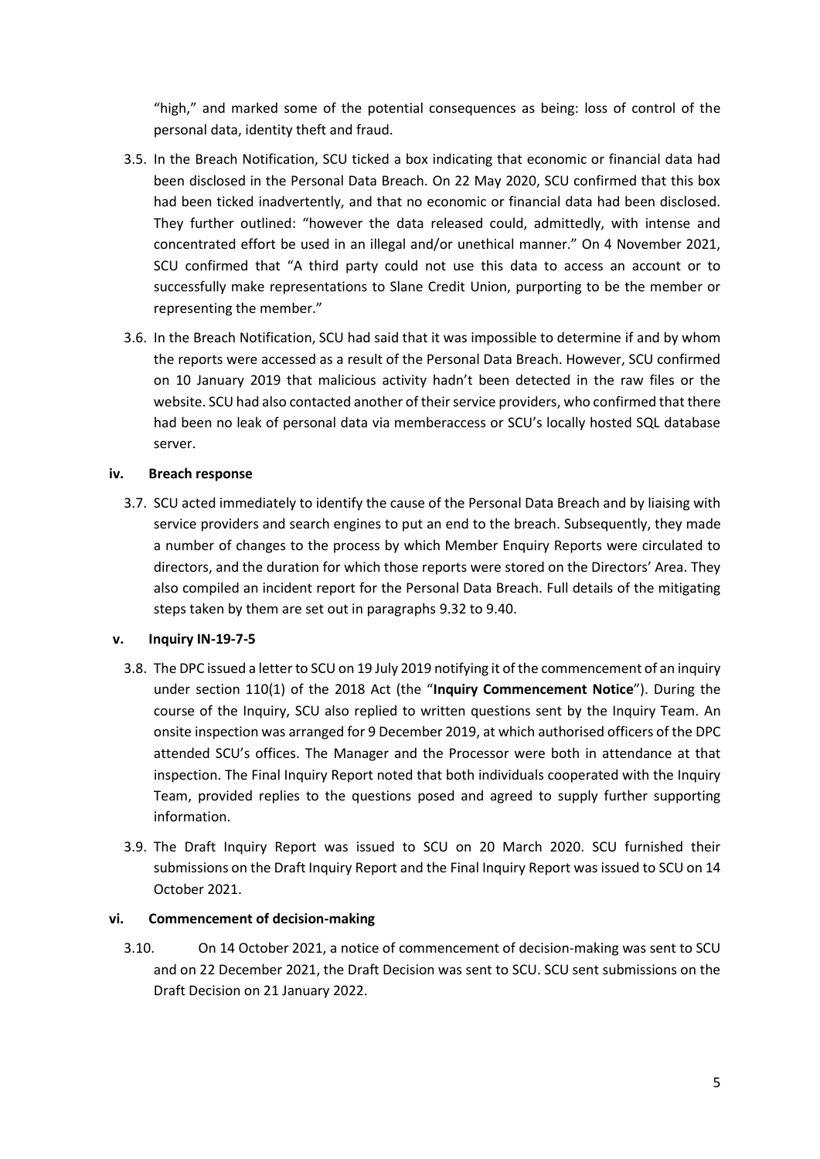"high," and marked some of the potential consequences as being: loss of control of the personal data, identity theft and fraud.

- 3.5. In the Breach Notification, SCU ticked a box indicating that economic or financial data had been disclosed in the Personal Data Breach. On 22 May 2020, SCU confirmed that this box had been ticked inadvertently, and that no economic or financial data had been disclosed. They further outlined: "however the data released could, admittedly, with intense and concentrated effort be used in an illegal and/or unethical manner." On 4 November 2021, SCU confirmed that "A third party could not use this data to access an account or to successfully make representations to Slane Credit Union, purporting to be the member or representing the member."
- 3.6. In the Breach Notification, SCU had said that it was impossible to determine if and by whom the reports were accessed as a result of the Personal Data Breach. However, SCU confirmed on 10 January 2019 that malicious activity hadn't been detected in the raw files or the website. SCU had also contacted another of their service providers, who confirmed that there had been no leak of personal data via memberaccess or SCU's locally hosted SQL database server.

### **iv. Breach response**

3.7. SCU acted immediately to identify the cause of the Personal Data Breach and by liaising with service providers and search engines to put an end to the breach. Subsequently, they made a number of changes to the process by which Member Enquiry Reports were circulated to directors, and the duration for which those reports were stored on the Directors' Area. They also compiled an incident report for the Personal Data Breach. Full details of the mitigating steps taken by them are set out in paragraphs [9.32](#page-23-0) to [9.40.](#page-25-0)

### **v. Inquiry IN-19-7-5**

- 3.8. The DPC issued a letter to SCU on 19 July 2019 notifying it of the commencement of an inquiry under section 110(1) of the 2018 Act (the "**Inquiry Commencement Notice**"). During the course of the Inquiry, SCU also replied to written questions sent by the Inquiry Team. An onsite inspection was arranged for 9 December 2019, at which authorised officers of the DPC attended SCU's offices. The Manager and the Processor were both in attendance at that inspection. The Final Inquiry Report noted that both individuals cooperated with the Inquiry Team, provided replies to the questions posed and agreed to supply further supporting information.
- 3.9. The Draft Inquiry Report was issued to SCU on 20 March 2020. SCU furnished their submissions on the Draft Inquiry Report and the Final Inquiry Report was issued to SCU on 14 October 2021.

### **vi. Commencement of decision-making**

3.10. On 14 October 2021, a notice of commencement of decision-making was sent to SCU and on 22 December 2021, the Draft Decision was sent to SCU. SCU sent submissions on the Draft Decision on 21 January 2022.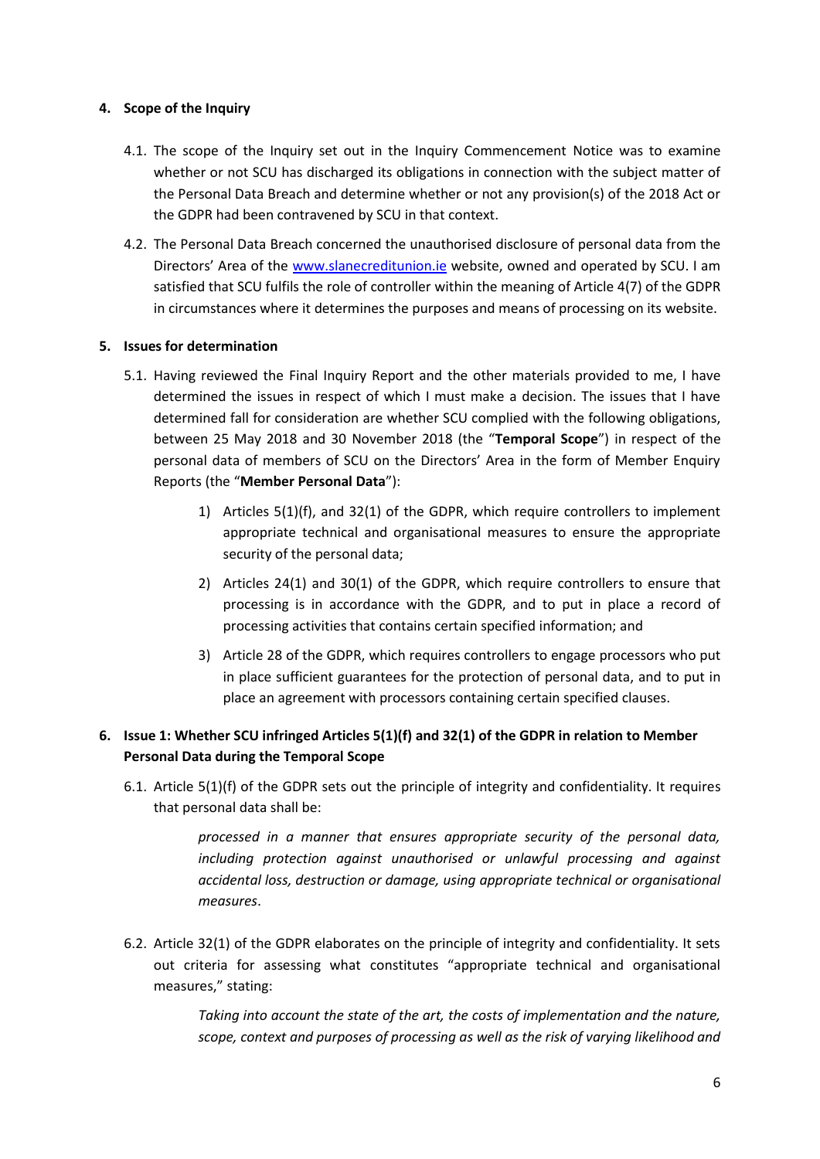### <span id="page-5-0"></span>**4. Scope of the Inquiry**

- 4.1. The scope of the Inquiry set out in the Inquiry Commencement Notice was to examine whether or not SCU has discharged its obligations in connection with the subject matter of the Personal Data Breach and determine whether or not any provision(s) of the 2018 Act or the GDPR had been contravened by SCU in that context.
- 4.2. The Personal Data Breach concerned the unauthorised disclosure of personal data from the Directors' Area of the [www.slanecreditunion.ie](http://www.slanecreditunion.ie/) website, owned and operated by SCU. I am satisfied that SCU fulfils the role of controller within the meaning of Article 4(7) of the GDPR in circumstances where it determines the purposes and means of processing on its website.

### <span id="page-5-1"></span>**5. Issues for determination**

- 5.1. Having reviewed the Final Inquiry Report and the other materials provided to me, I have determined the issues in respect of which I must make a decision. The issues that I have determined fall for consideration are whether SCU complied with the following obligations, between 25 May 2018 and 30 November 2018 (the "**Temporal Scope**") in respect of the personal data of members of SCU on the Directors' Area in the form of Member Enquiry Reports (the "**Member Personal Data**"):
	- 1) Articles 5(1)(f), and 32(1) of the GDPR, which require controllers to implement appropriate technical and organisational measures to ensure the appropriate security of the personal data;
	- 2) Articles 24(1) and 30(1) of the GDPR, which require controllers to ensure that processing is in accordance with the GDPR, and to put in place a record of processing activities that contains certain specified information; and
	- 3) Article 28 of the GDPR, which requires controllers to engage processors who put in place sufficient guarantees for the protection of personal data, and to put in place an agreement with processors containing certain specified clauses.

# <span id="page-5-2"></span>**6. Issue 1: Whether SCU infringed Articles 5(1)(f) and 32(1) of the GDPR in relation to Member Personal Data during the Temporal Scope**

6.1. Article 5(1)(f) of the GDPR sets out the principle of integrity and confidentiality. It requires that personal data shall be:

> *processed in a manner that ensures appropriate security of the personal data, including protection against unauthorised or unlawful processing and against accidental loss, destruction or damage, using appropriate technical or organisational measures*.

6.2. Article 32(1) of the GDPR elaborates on the principle of integrity and confidentiality. It sets out criteria for assessing what constitutes "appropriate technical and organisational measures," stating:

> *Taking into account the state of the art, the costs of implementation and the nature, scope, context and purposes of processing as well as the risk of varying likelihood and*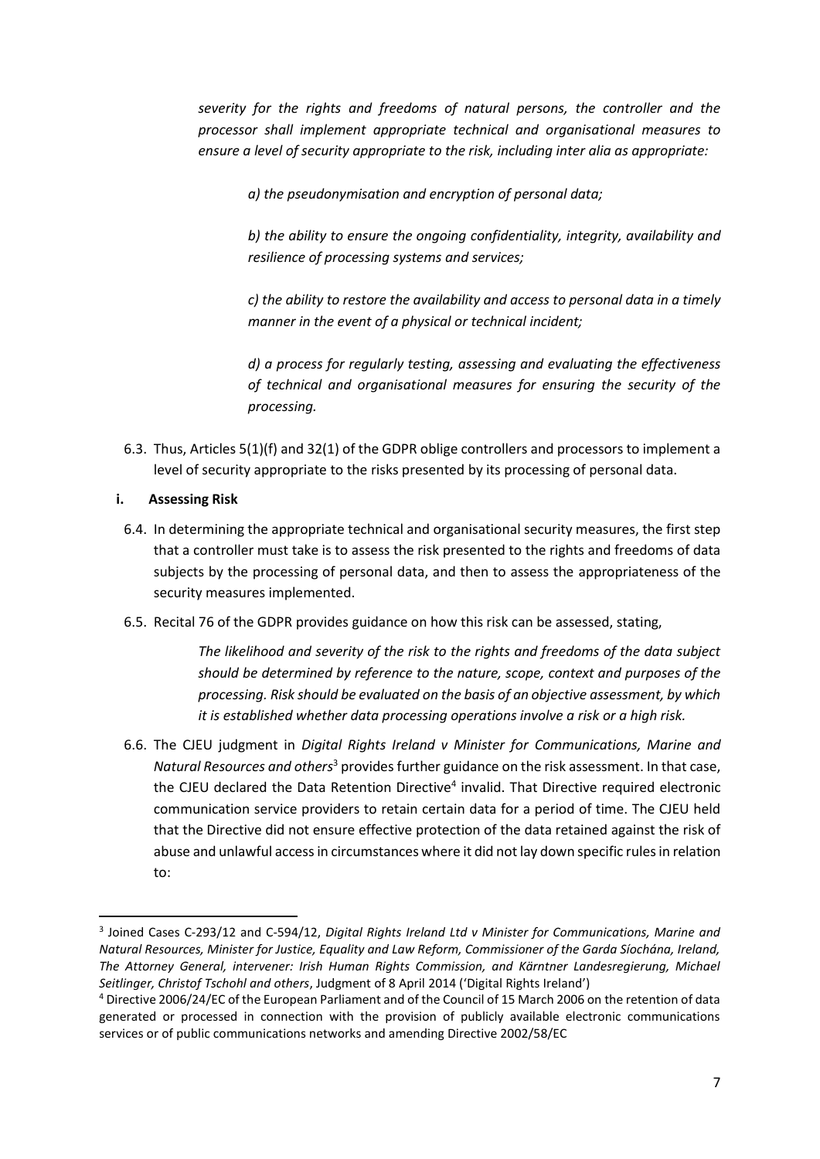*severity for the rights and freedoms of natural persons, the controller and the processor shall implement appropriate technical and organisational measures to ensure a level of security appropriate to the risk, including inter alia as appropriate:*

*a) the pseudonymisation and encryption of personal data;*

*b) the ability to ensure the ongoing confidentiality, integrity, availability and resilience of processing systems and services;*

*c) the ability to restore the availability and access to personal data in a timely manner in the event of a physical or technical incident;*

*d) a process for regularly testing, assessing and evaluating the effectiveness of technical and organisational measures for ensuring the security of the processing.*

6.3. Thus, Articles 5(1)(f) and 32(1) of the GDPR oblige controllers and processors to implement a level of security appropriate to the risks presented by its processing of personal data.

### **i. Assessing Risk**

**.** 

- 6.4. In determining the appropriate technical and organisational security measures, the first step that a controller must take is to assess the risk presented to the rights and freedoms of data subjects by the processing of personal data, and then to assess the appropriateness of the security measures implemented.
- 6.5. Recital 76 of the GDPR provides guidance on how this risk can be assessed, stating,

*The likelihood and severity of the risk to the rights and freedoms of the data subject should be determined by reference to the nature, scope, context and purposes of the processing. Risk should be evaluated on the basis of an objective assessment, by which it is established whether data processing operations involve a risk or a high risk.*

6.6. The CJEU judgment in *Digital Rights Ireland v Minister for Communications, Marine and Natural Resources and others*<sup>3</sup> provides further guidance on the risk assessment. In that case, the CJEU declared the Data Retention Directive<sup>4</sup> invalid. That Directive required electronic communication service providers to retain certain data for a period of time. The CJEU held that the Directive did not ensure effective protection of the data retained against the risk of abuse and unlawful access in circumstances where it did not lay down specific rules in relation to:

<sup>3</sup> Joined Cases C‐293/12 and C‐594/12, *Digital Rights Ireland Ltd v Minister for Communications, Marine and Natural Resources, Minister for Justice, Equality and Law Reform, Commissioner of the Garda Síochána, Ireland, The Attorney General, intervener: Irish Human Rights Commission, and Kärntner Landesregierung, Michael Seitlinger, Christof Tschohl and others*, Judgment of 8 April 2014 ('Digital Rights Ireland')

<sup>4</sup> Directive 2006/24/EC of the European Parliament and of the Council of 15 March 2006 on the retention of data generated or processed in connection with the provision of publicly available electronic communications services or of public communications networks and amending Directive 2002/58/EC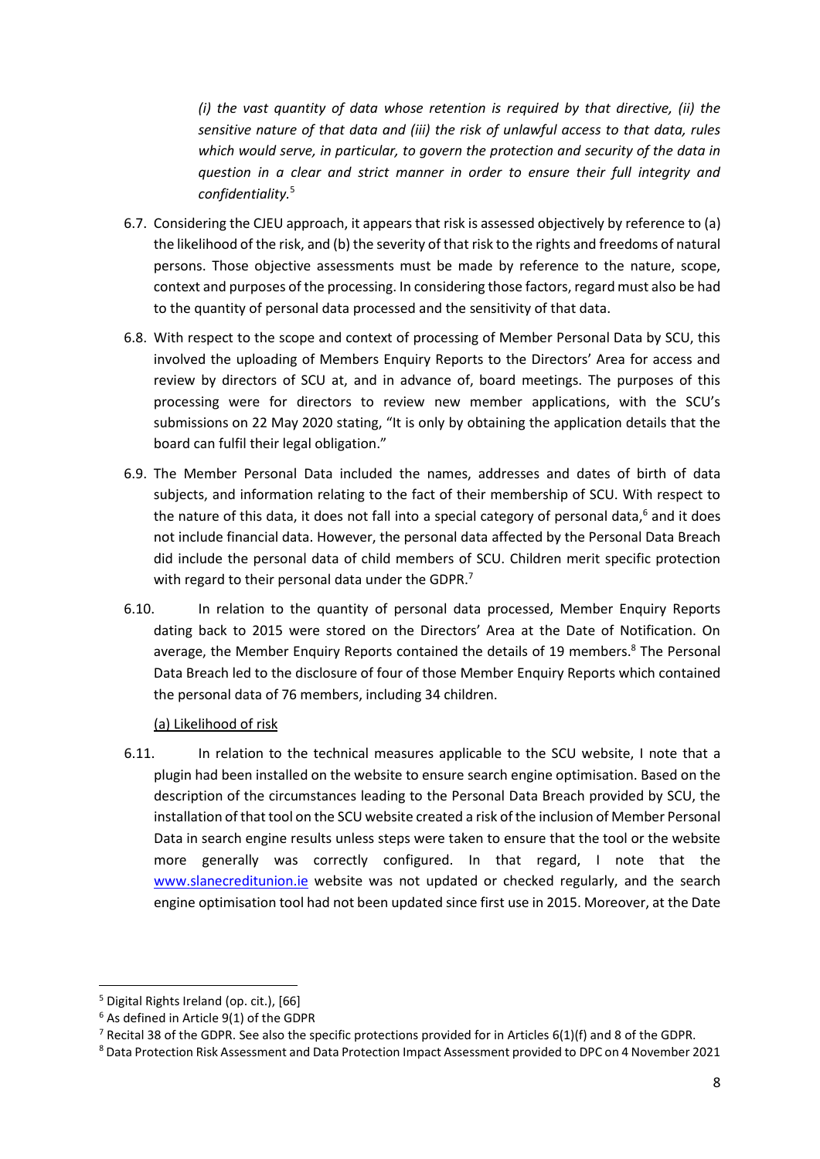*(i) the vast quantity of data whose retention is required by that directive, (ii) the sensitive nature of that data and (iii) the risk of unlawful access to that data, rules which would serve, in particular, to govern the protection and security of the data in question in a clear and strict manner in order to ensure their full integrity and confidentiality.*<sup>5</sup>

- 6.7. Considering the CJEU approach, it appears that risk is assessed objectively by reference to (a) the likelihood of the risk, and (b) the severity of that risk to the rights and freedoms of natural persons. Those objective assessments must be made by reference to the nature, scope, context and purposes of the processing. In considering those factors, regard must also be had to the quantity of personal data processed and the sensitivity of that data.
- 6.8. With respect to the scope and context of processing of Member Personal Data by SCU, this involved the uploading of Members Enquiry Reports to the Directors' Area for access and review by directors of SCU at, and in advance of, board meetings. The purposes of this processing were for directors to review new member applications, with the SCU's submissions on 22 May 2020 stating, "It is only by obtaining the application details that the board can fulfil their legal obligation."
- 6.9. The Member Personal Data included the names, addresses and dates of birth of data subjects, and information relating to the fact of their membership of SCU. With respect to the nature of this data, it does not fall into a special category of personal data, $6$  and it does not include financial data. However, the personal data affected by the Personal Data Breach did include the personal data of child members of SCU. Children merit specific protection with regard to their personal data under the GDPR.<sup>7</sup>
- 6.10. In relation to the quantity of personal data processed, Member Enquiry Reports dating back to 2015 were stored on the Directors' Area at the Date of Notification. On average, the Member Enquiry Reports contained the details of 19 members.<sup>8</sup> The Personal Data Breach led to the disclosure of four of those Member Enquiry Reports which contained the personal data of 76 members, including 34 children.

(a) Likelihood of risk

6.11. In relation to the technical measures applicable to the SCU website, I note that a plugin had been installed on the website to ensure search engine optimisation. Based on the description of the circumstances leading to the Personal Data Breach provided by SCU, the installation of that tool on the SCU website created a risk of the inclusion of Member Personal Data in search engine results unless steps were taken to ensure that the tool or the website more generally was correctly configured. In that regard, I note that the [www.slanecreditunion.ie](http://www.slanecreditunion.ie/) website was not updated or checked regularly, and the search engine optimisation tool had not been updated since first use in 2015. Moreover, at the Date

1

<sup>&</sup>lt;sup>5</sup> Digital Rights Ireland (op. cit.), [66]

<sup>6</sup> As defined in Article 9(1) of the GDPR

<sup>&</sup>lt;sup>7</sup> Recital 38 of the GDPR. See also the specific protections provided for in Articles 6(1)(f) and 8 of the GDPR.

<sup>8</sup> Data Protection Risk Assessment and Data Protection Impact Assessment provided to DPC on 4 November 2021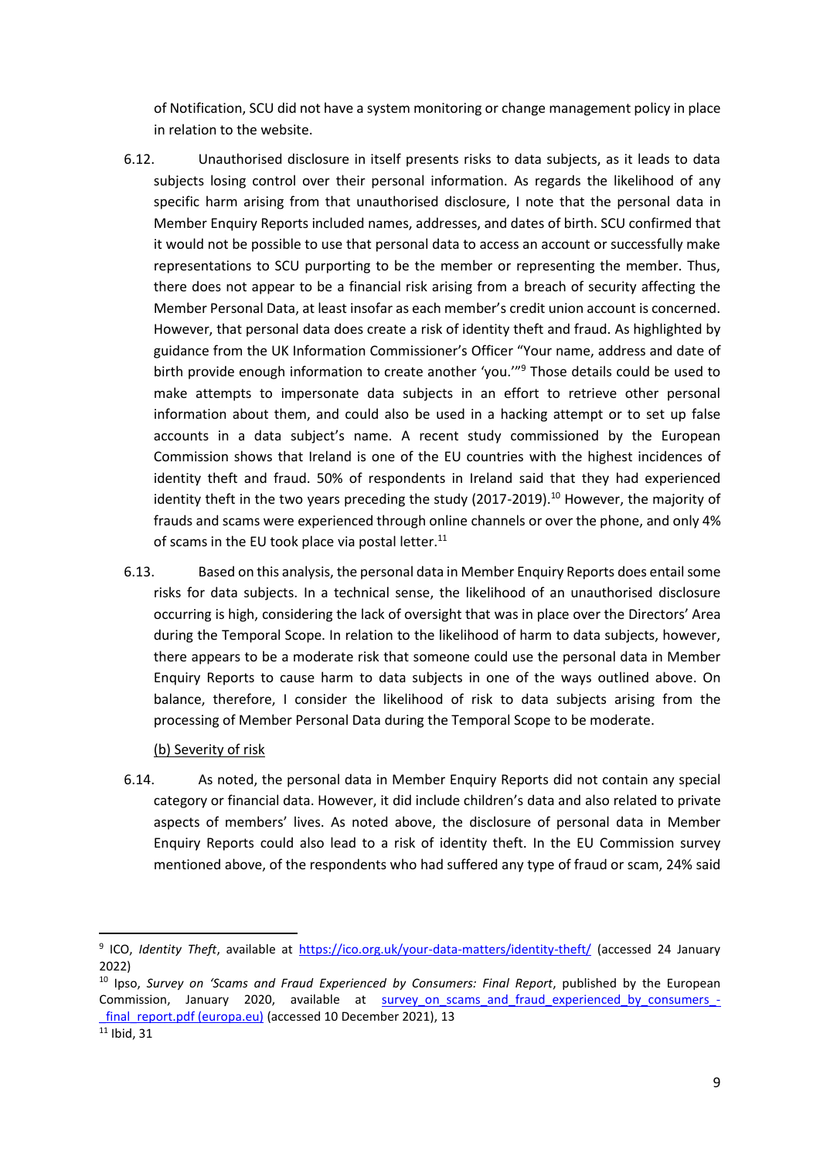of Notification, SCU did not have a system monitoring or change management policy in place in relation to the website.

- 6.12. Unauthorised disclosure in itself presents risks to data subjects, as it leads to data subjects losing control over their personal information. As regards the likelihood of any specific harm arising from that unauthorised disclosure, I note that the personal data in Member Enquiry Reports included names, addresses, and dates of birth. SCU confirmed that it would not be possible to use that personal data to access an account or successfully make representations to SCU purporting to be the member or representing the member. Thus, there does not appear to be a financial risk arising from a breach of security affecting the Member Personal Data, at least insofar as each member's credit union account is concerned. However, that personal data does create a risk of identity theft and fraud. As highlighted by guidance from the UK Information Commissioner's Officer "Your name, address and date of birth provide enough information to create another 'you."<sup>9</sup> Those details could be used to make attempts to impersonate data subjects in an effort to retrieve other personal information about them, and could also be used in a hacking attempt or to set up false accounts in a data subject's name. A recent study commissioned by the European Commission shows that Ireland is one of the EU countries with the highest incidences of identity theft and fraud. 50% of respondents in Ireland said that they had experienced identity theft in the two years preceding the study (2017-2019).<sup>10</sup> However, the majority of frauds and scams were experienced through online channels or over the phone, and only 4% of scams in the EU took place via postal letter.<sup>11</sup>
- 6.13. Based on this analysis, the personal data in Member Enquiry Reports does entail some risks for data subjects. In a technical sense, the likelihood of an unauthorised disclosure occurring is high, considering the lack of oversight that was in place over the Directors' Area during the Temporal Scope. In relation to the likelihood of harm to data subjects, however, there appears to be a moderate risk that someone could use the personal data in Member Enquiry Reports to cause harm to data subjects in one of the ways outlined above. On balance, therefore, I consider the likelihood of risk to data subjects arising from the processing of Member Personal Data during the Temporal Scope to be moderate.

(b) Severity of risk

6.14. As noted, the personal data in Member Enquiry Reports did not contain any special category or financial data. However, it did include children's data and also related to private aspects of members' lives. As noted above, the disclosure of personal data in Member Enquiry Reports could also lead to a risk of identity theft. In the EU Commission survey mentioned above, of the respondents who had suffered any type of fraud or scam, 24% said

<sup>&</sup>lt;sup>9</sup> ICO, *Identity Theft*, available at *<https://ico.org.uk/your-data-matters/identity-theft/>* (accessed 24 January 2022)

<sup>10</sup> Ipso, *Survey on 'Scams and Fraud Experienced by Consumers: Final Report*, published by the European Commission, January 2020, available at survey on scams and fraud experienced by consumers final\_report.pdf (europa.eu) (accessed 10 December 2021), 13

 $11$  Ibid, 31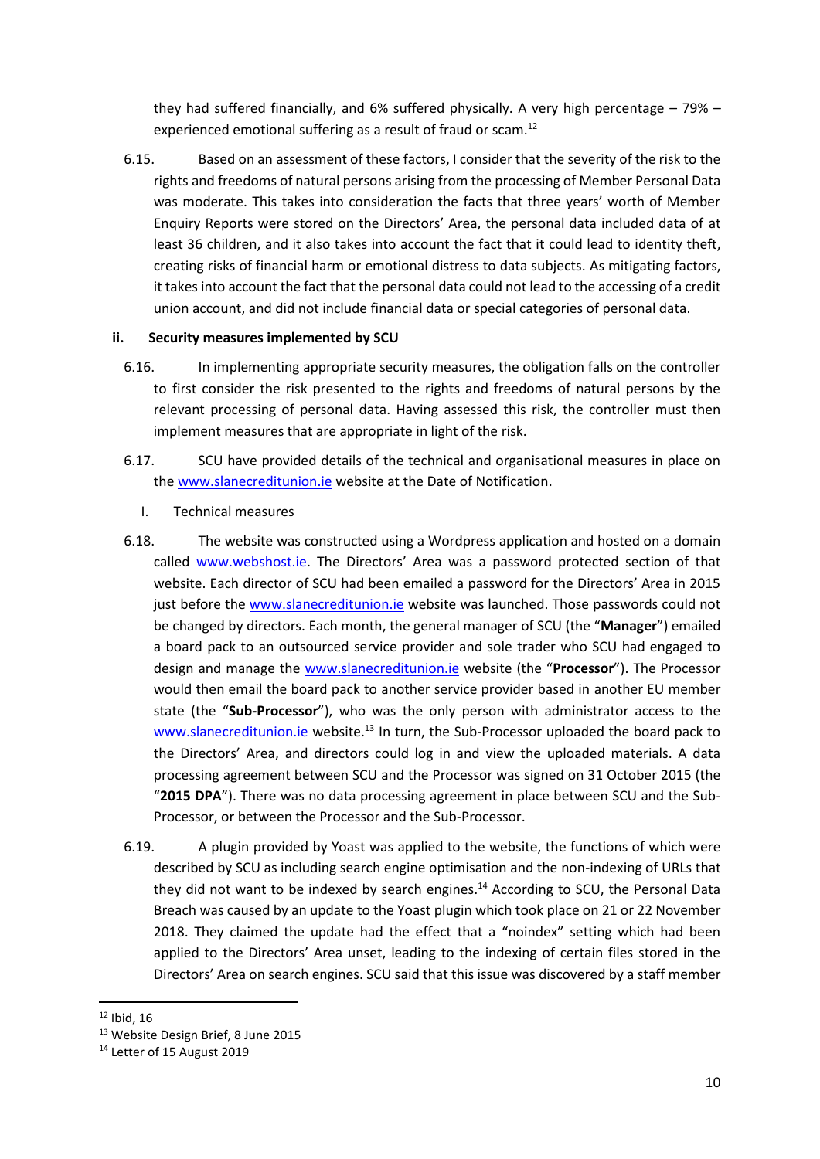they had suffered financially, and 6% suffered physically. A very high percentage – 79% – experienced emotional suffering as a result of fraud or scam.<sup>12</sup>

6.15. Based on an assessment of these factors, I consider that the severity of the risk to the rights and freedoms of natural persons arising from the processing of Member Personal Data was moderate. This takes into consideration the facts that three years' worth of Member Enquiry Reports were stored on the Directors' Area, the personal data included data of at least 36 children, and it also takes into account the fact that it could lead to identity theft, creating risks of financial harm or emotional distress to data subjects. As mitigating factors, it takes into account the fact that the personal data could not lead to the accessing of a credit union account, and did not include financial data or special categories of personal data.

### **ii. Security measures implemented by SCU**

- 6.16. In implementing appropriate security measures, the obligation falls on the controller to first consider the risk presented to the rights and freedoms of natural persons by the relevant processing of personal data. Having assessed this risk, the controller must then implement measures that are appropriate in light of the risk.
- 6.17. SCU have provided details of the technical and organisational measures in place on the [www.slanecreditunion.ie](http://www.slanecreditunion.ie/) website at the Date of Notification.
	- I. Technical measures
- 6.18. The website was constructed using a Wordpress application and hosted on a domain called [www.webshost.ie](http://www.webshost.ie/). The Directors' Area was a password protected section of that website. Each director of SCU had been emailed a password for the Directors' Area in 2015 just before the [www.slanecreditunion.ie](http://www.slanecreditunion.ie/) website was launched. Those passwords could not be changed by directors. Each month, the general manager of SCU (the "**Manager**") emailed a board pack to an outsourced service provider and sole trader who SCU had engaged to design and manage the [www.slanecreditunion.ie](http://www.slanecreditunion.ie/) website (the "**Processor**"). The Processor would then email the board pack to another service provider based in another EU member state (the "**Sub-Processor**"), who was the only person with administrator access to the [www.slanecreditunion.ie](http://www.slanecreditunion.ie/) website.<sup>13</sup> In turn, the Sub-Processor uploaded the board pack to the Directors' Area, and directors could log in and view the uploaded materials. A data processing agreement between SCU and the Processor was signed on 31 October 2015 (the "**2015 DPA**"). There was no data processing agreement in place between SCU and the Sub-Processor, or between the Processor and the Sub-Processor.
- 6.19. A plugin provided by Yoast was applied to the website, the functions of which were described by SCU as including search engine optimisation and the non-indexing of URLs that they did not want to be indexed by search engines.<sup>14</sup> According to SCU, the Personal Data Breach was caused by an update to the Yoast plugin which took place on 21 or 22 November 2018. They claimed the update had the effect that a "noindex" setting which had been applied to the Directors' Area unset, leading to the indexing of certain files stored in the Directors' Area on search engines. SCU said that this issue was discovered by a staff member

**<sup>.</sup>**  $12$  Ibid, 16

<sup>13</sup> Website Design Brief, 8 June 2015

<sup>&</sup>lt;sup>14</sup> Letter of 15 August 2019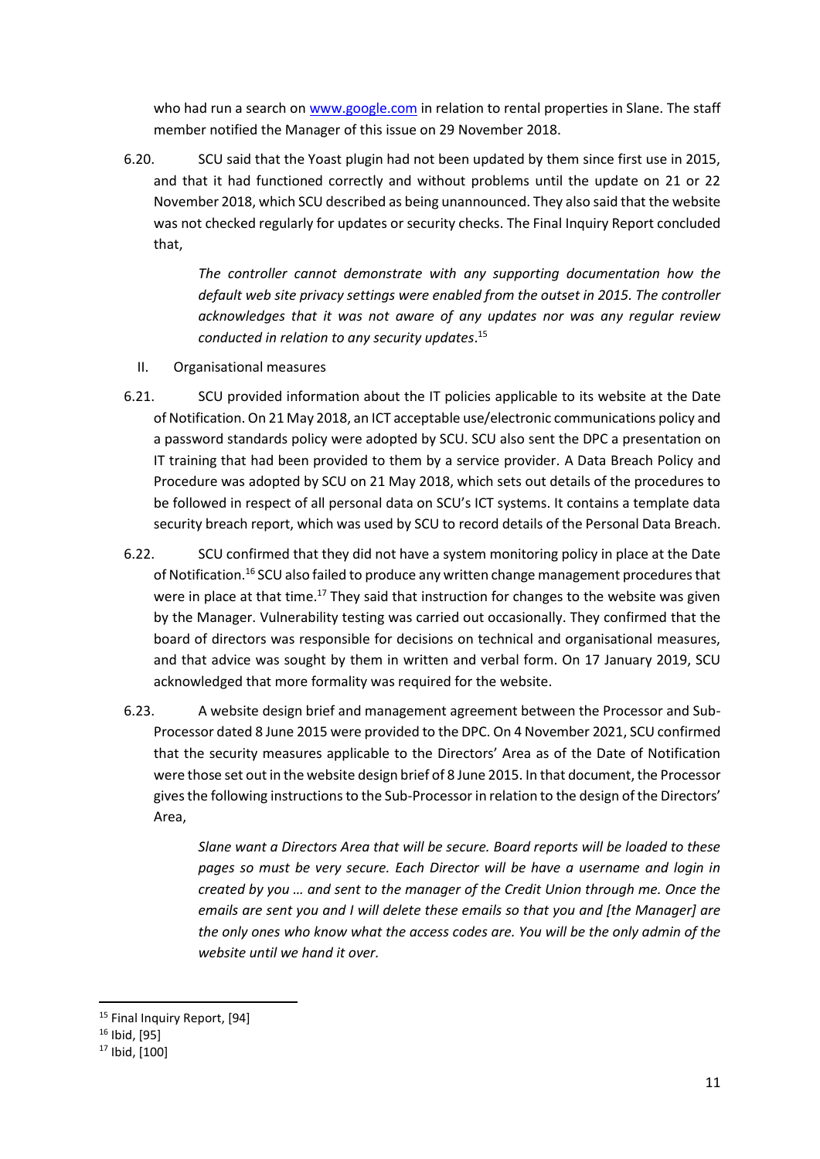who had run a search o[n www.google.com](http://www.google.com/) in relation to rental properties in Slane. The staff member notified the Manager of this issue on 29 November 2018.

6.20. SCU said that the Yoast plugin had not been updated by them since first use in 2015, and that it had functioned correctly and without problems until the update on 21 or 22 November 2018, which SCU described as being unannounced. They also said that the website was not checked regularly for updates or security checks. The Final Inquiry Report concluded that,

> *The controller cannot demonstrate with any supporting documentation how the default web site privacy settings were enabled from the outset in 2015. The controller acknowledges that it was not aware of any updates nor was any regular review conducted in relation to any security updates*. 15

- II. Organisational measures
- 6.21. SCU provided information about the IT policies applicable to its website at the Date of Notification. On 21 May 2018, an ICT acceptable use/electronic communications policy and a password standards policy were adopted by SCU. SCU also sent the DPC a presentation on IT training that had been provided to them by a service provider. A Data Breach Policy and Procedure was adopted by SCU on 21 May 2018, which sets out details of the procedures to be followed in respect of all personal data on SCU's ICT systems. It contains a template data security breach report, which was used by SCU to record details of the Personal Data Breach.
- 6.22. SCU confirmed that they did not have a system monitoring policy in place at the Date of Notification.<sup>16</sup> SCU also failed to produce any written change management procedures that were in place at that time.<sup>17</sup> They said that instruction for changes to the website was given by the Manager. Vulnerability testing was carried out occasionally. They confirmed that the board of directors was responsible for decisions on technical and organisational measures, and that advice was sought by them in written and verbal form. On 17 January 2019, SCU acknowledged that more formality was required for the website.
- 6.23. A website design brief and management agreement between the Processor and Sub-Processor dated 8 June 2015 were provided to the DPC. On 4 November 2021, SCU confirmed that the security measures applicable to the Directors' Area as of the Date of Notification were those set out in the website design brief of 8 June 2015. In that document, the Processor gives the following instructions to the Sub-Processor in relation to the design of the Directors' Area,

*Slane want a Directors Area that will be secure. Board reports will be loaded to these pages so must be very secure. Each Director will be have a username and login in created by you … and sent to the manager of the Credit Union through me. Once the emails are sent you and I will delete these emails so that you and [the Manager] are the only ones who know what the access codes are. You will be the only admin of the website until we hand it over.*

<sup>&</sup>lt;sup>15</sup> Final Inquiry Report, [94]

<sup>16</sup> Ibid, [95]

<sup>17</sup> Ibid, [100]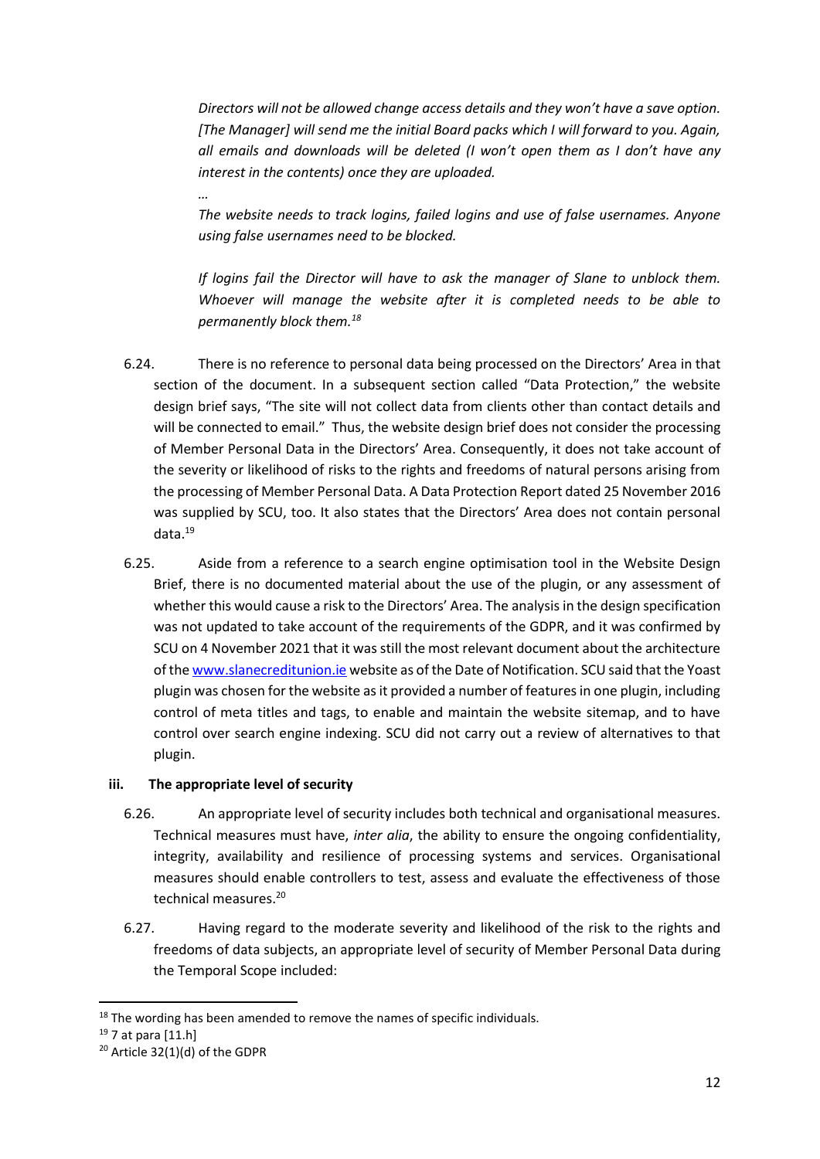*Directors will not be allowed change access details and they won't have a save option. [The Manager] will send me the initial Board packs which I will forward to you. Again, all emails and downloads will be deleted (I won't open them as I don't have any interest in the contents) once they are uploaded.* 

*The website needs to track logins, failed logins and use of false usernames. Anyone using false usernames need to be blocked.*

*If logins fail the Director will have to ask the manager of Slane to unblock them. Whoever will manage the website after it is completed needs to be able to permanently block them.<sup>18</sup>*

- 6.24. There is no reference to personal data being processed on the Directors' Area in that section of the document. In a subsequent section called "Data Protection," the website design brief says, "The site will not collect data from clients other than contact details and will be connected to email." Thus, the website design brief does not consider the processing of Member Personal Data in the Directors' Area. Consequently, it does not take account of the severity or likelihood of risks to the rights and freedoms of natural persons arising from the processing of Member Personal Data. A Data Protection Report dated 25 November 2016 was supplied by SCU, too. It also states that the Directors' Area does not contain personal data.<sup>19</sup>
- 6.25. Aside from a reference to a search engine optimisation tool in the Website Design Brief, there is no documented material about the use of the plugin, or any assessment of whether this would cause a risk to the Directors' Area. The analysis in the design specification was not updated to take account of the requirements of the GDPR, and it was confirmed by SCU on 4 November 2021 that it was still the most relevant document about the architecture of th[e www.slanecreditunion.ie](http://www.slanecreditunion.ie/) website as of the Date of Notification. SCU said that the Yoast plugin was chosen for the website as it provided a number of features in one plugin, including control of meta titles and tags, to enable and maintain the website sitemap, and to have control over search engine indexing. SCU did not carry out a review of alternatives to that plugin.

### **iii. The appropriate level of security**

*…*

- 6.26. An appropriate level of security includes both technical and organisational measures. Technical measures must have, *inter alia*, the ability to ensure the ongoing confidentiality, integrity, availability and resilience of processing systems and services. Organisational measures should enable controllers to test, assess and evaluate the effectiveness of those technical measures.<sup>20</sup>
- 6.27. Having regard to the moderate severity and likelihood of the risk to the rights and freedoms of data subjects, an appropriate level of security of Member Personal Data during the Temporal Scope included:

<sup>&</sup>lt;sup>18</sup> The wording has been amended to remove the names of specific individuals.

<sup>19</sup> 7 at para [11.h]

<sup>20</sup> Article 32(1)(d) of the GDPR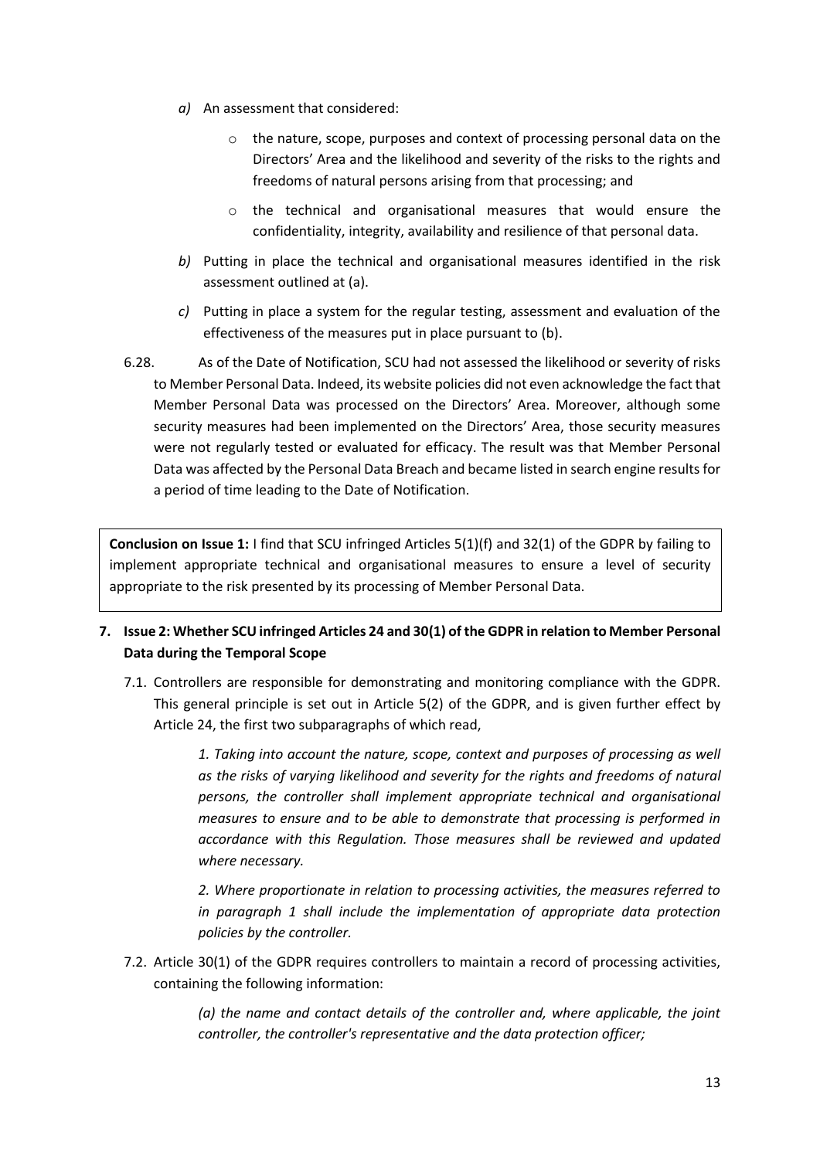- *a)* An assessment that considered:
	- o the nature, scope, purposes and context of processing personal data on the Directors' Area and the likelihood and severity of the risks to the rights and freedoms of natural persons arising from that processing; and
	- o the technical and organisational measures that would ensure the confidentiality, integrity, availability and resilience of that personal data.
- *b)* Putting in place the technical and organisational measures identified in the risk assessment outlined at (a).
- *c)* Putting in place a system for the regular testing, assessment and evaluation of the effectiveness of the measures put in place pursuant to (b).
- 6.28. As of the Date of Notification, SCU had not assessed the likelihood or severity of risks to Member Personal Data. Indeed, its website policies did not even acknowledge the fact that Member Personal Data was processed on the Directors' Area. Moreover, although some security measures had been implemented on the Directors' Area, those security measures were not regularly tested or evaluated for efficacy. The result was that Member Personal Data was affected by the Personal Data Breach and became listed in search engine results for a period of time leading to the Date of Notification.

**Conclusion on Issue 1:** I find that SCU infringed Articles 5(1)(f) and 32(1) of the GDPR by failing to implement appropriate technical and organisational measures to ensure a level of security appropriate to the risk presented by its processing of Member Personal Data.

- <span id="page-12-0"></span>**7. Issue 2: Whether SCU infringed Articles 24 and 30(1) of the GDPR in relation to Member Personal Data during the Temporal Scope**
	- 7.1. Controllers are responsible for demonstrating and monitoring compliance with the GDPR. This general principle is set out in Article 5(2) of the GDPR, and is given further effect by Article 24, the first two subparagraphs of which read,

*1. Taking into account the nature, scope, context and purposes of processing as well as the risks of varying likelihood and severity for the rights and freedoms of natural persons, the controller shall implement appropriate technical and organisational measures to ensure and to be able to demonstrate that processing is performed in accordance with this Regulation. Those measures shall be reviewed and updated where necessary.* 

*2. Where proportionate in relation to processing activities, the measures referred to in paragraph 1 shall include the implementation of appropriate data protection policies by the controller.*

7.2. Article 30(1) of the GDPR requires controllers to maintain a record of processing activities, containing the following information:

> *(a) the name and contact details of the controller and, where applicable, the joint controller, the controller's representative and the data protection officer;*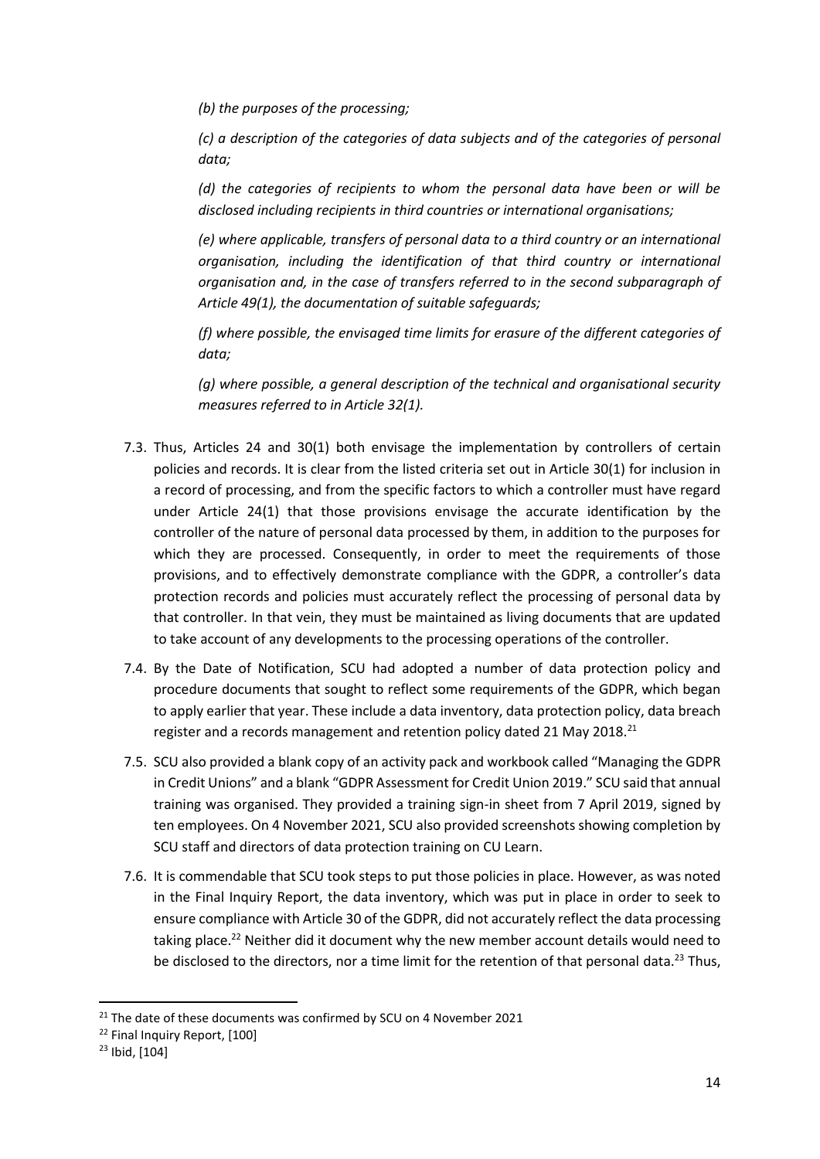*(b) the purposes of the processing;* 

*(c) a description of the categories of data subjects and of the categories of personal data;*

*(d) the categories of recipients to whom the personal data have been or will be disclosed including recipients in third countries or international organisations;* 

*(e) where applicable, transfers of personal data to a third country or an international organisation, including the identification of that third country or international organisation and, in the case of transfers referred to in the second subparagraph of Article 49(1), the documentation of suitable safeguards;* 

*(f) where possible, the envisaged time limits for erasure of the different categories of data;* 

*(g) where possible, a general description of the technical and organisational security measures referred to in Article 32(1).*

- 7.3. Thus, Articles 24 and 30(1) both envisage the implementation by controllers of certain policies and records. It is clear from the listed criteria set out in Article 30(1) for inclusion in a record of processing, and from the specific factors to which a controller must have regard under Article 24(1) that those provisions envisage the accurate identification by the controller of the nature of personal data processed by them, in addition to the purposes for which they are processed. Consequently, in order to meet the requirements of those provisions, and to effectively demonstrate compliance with the GDPR, a controller's data protection records and policies must accurately reflect the processing of personal data by that controller. In that vein, they must be maintained as living documents that are updated to take account of any developments to the processing operations of the controller.
- 7.4. By the Date of Notification, SCU had adopted a number of data protection policy and procedure documents that sought to reflect some requirements of the GDPR, which began to apply earlier that year. These include a data inventory, data protection policy, data breach register and a records management and retention policy dated 21 May 2018.<sup>21</sup>
- 7.5. SCU also provided a blank copy of an activity pack and workbook called "Managing the GDPR in Credit Unions" and a blank "GDPR Assessment for Credit Union 2019." SCU said that annual training was organised. They provided a training sign-in sheet from 7 April 2019, signed by ten employees. On 4 November 2021, SCU also provided screenshots showing completion by SCU staff and directors of data protection training on CU Learn.
- 7.6. It is commendable that SCU took steps to put those policies in place. However, as was noted in the Final Inquiry Report, the data inventory, which was put in place in order to seek to ensure compliance with Article 30 of the GDPR, did not accurately reflect the data processing taking place.<sup>22</sup> Neither did it document why the new member account details would need to be disclosed to the directors, nor a time limit for the retention of that personal data.<sup>23</sup> Thus,

 $21$  The date of these documents was confirmed by SCU on 4 November 2021

<sup>22</sup> Final Inquiry Report, [100]

<sup>23</sup> Ibid, [104]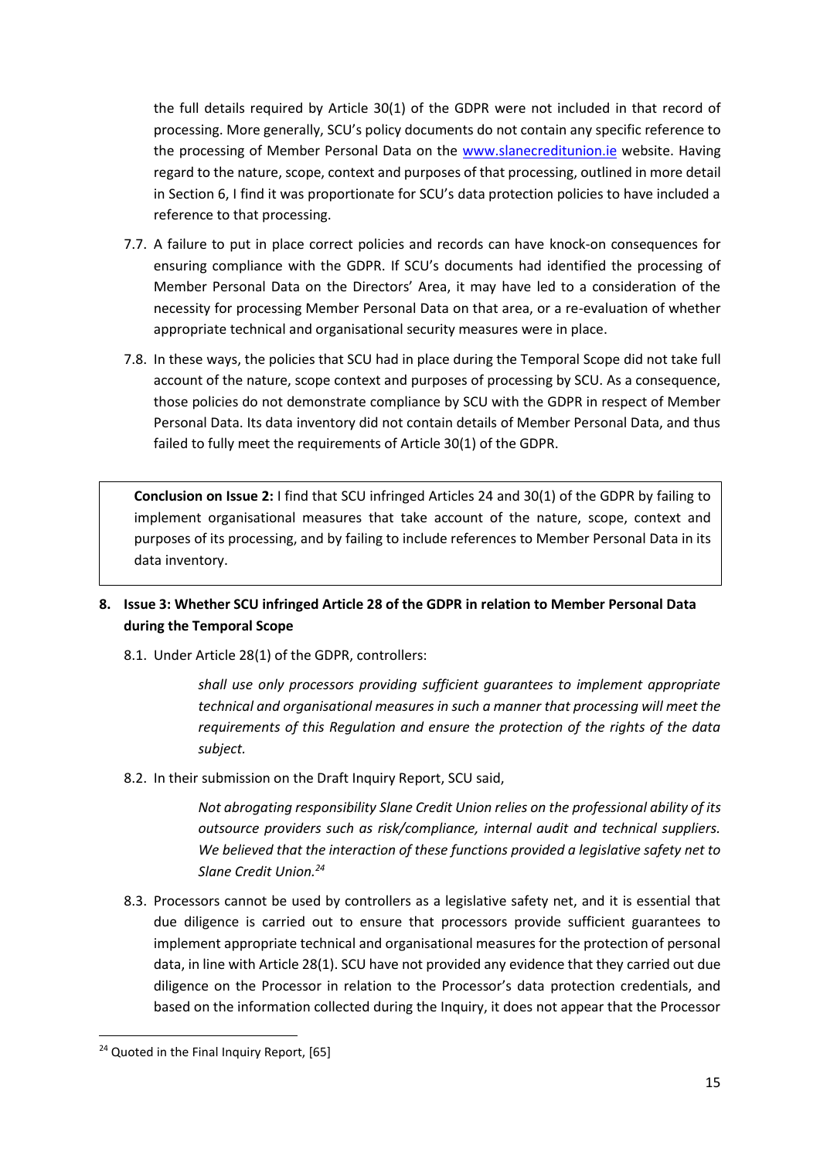the full details required by Article 30(1) of the GDPR were not included in that record of processing. More generally, SCU's policy documents do not contain any specific reference to the processing of Member Personal Data on the [www.slanecreditunion.ie](http://www.slanecreditunion.ie/) website. Having regard to the nature, scope, context and purposes of that processing, outlined in more detail in Section [6](#page-5-2), I find it was proportionate for SCU's data protection policies to have included a reference to that processing.

- 7.7. A failure to put in place correct policies and records can have knock-on consequences for ensuring compliance with the GDPR. If SCU's documents had identified the processing of Member Personal Data on the Directors' Area, it may have led to a consideration of the necessity for processing Member Personal Data on that area, or a re-evaluation of whether appropriate technical and organisational security measures were in place.
- 7.8. In these ways, the policies that SCU had in place during the Temporal Scope did not take full account of the nature, scope context and purposes of processing by SCU. As a consequence, those policies do not demonstrate compliance by SCU with the GDPR in respect of Member Personal Data. Its data inventory did not contain details of Member Personal Data, and thus failed to fully meet the requirements of Article 30(1) of the GDPR.

**Conclusion on Issue 2:** I find that SCU infringed Articles 24 and 30(1) of the GDPR by failing to implement organisational measures that take account of the nature, scope, context and purposes of its processing, and by failing to include references to Member Personal Data in its data inventory.

# <span id="page-14-0"></span>**8. Issue 3: Whether SCU infringed Article 28 of the GDPR in relation to Member Personal Data during the Temporal Scope**

8.1. Under Article 28(1) of the GDPR, controllers:

*shall use only processors providing sufficient guarantees to implement appropriate technical and organisational measures in such a manner that processing will meet the requirements of this Regulation and ensure the protection of the rights of the data subject.*

8.2. In their submission on the Draft Inquiry Report, SCU said,

*Not abrogating responsibility Slane Credit Union relies on the professional ability of its outsource providers such as risk/compliance, internal audit and technical suppliers. We believed that the interaction of these functions provided a legislative safety net to Slane Credit Union.<sup>24</sup>*

8.3. Processors cannot be used by controllers as a legislative safety net, and it is essential that due diligence is carried out to ensure that processors provide sufficient guarantees to implement appropriate technical and organisational measures for the protection of personal data, in line with Article 28(1). SCU have not provided any evidence that they carried out due diligence on the Processor in relation to the Processor's data protection credentials, and based on the information collected during the Inquiry, it does not appear that the Processor

<sup>&</sup>lt;sup>24</sup> Quoted in the Final Inquiry Report, [65]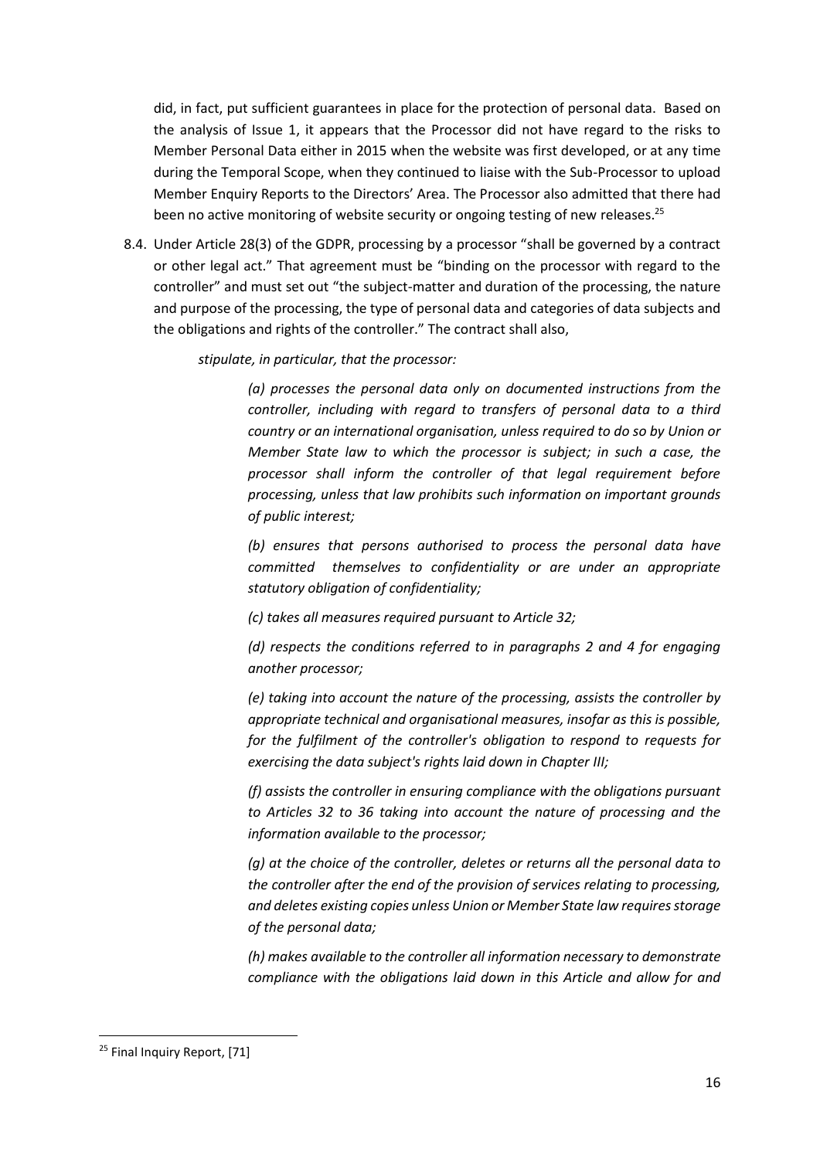did, in fact, put sufficient guarantees in place for the protection of personal data. Based on the analysis of Issue 1, it appears that the Processor did not have regard to the risks to Member Personal Data either in 2015 when the website was first developed, or at any time during the Temporal Scope, when they continued to liaise with the Sub-Processor to upload Member Enquiry Reports to the Directors' Area. The Processor also admitted that there had been no active monitoring of website security or ongoing testing of new releases.<sup>25</sup>

8.4. Under Article 28(3) of the GDPR, processing by a processor "shall be governed by a contract or other legal act." That agreement must be "binding on the processor with regard to the controller" and must set out "the subject-matter and duration of the processing, the nature and purpose of the processing, the type of personal data and categories of data subjects and the obligations and rights of the controller." The contract shall also,

*stipulate, in particular, that the processor:* 

*(a) processes the personal data only on documented instructions from the controller, including with regard to transfers of personal data to a third country or an international organisation, unless required to do so by Union or Member State law to which the processor is subject; in such a case, the processor shall inform the controller of that legal requirement before processing, unless that law prohibits such information on important grounds of public interest;* 

*(b) ensures that persons authorised to process the personal data have committed themselves to confidentiality or are under an appropriate statutory obligation of confidentiality;* 

*(c) takes all measures required pursuant to Article 32;* 

*(d) respects the conditions referred to in paragraphs 2 and 4 for engaging another processor;*

*(e) taking into account the nature of the processing, assists the controller by appropriate technical and organisational measures, insofar as this is possible, for the fulfilment of the controller's obligation to respond to requests for exercising the data subject's rights laid down in Chapter III;* 

*(f) assists the controller in ensuring compliance with the obligations pursuant to Articles 32 to 36 taking into account the nature of processing and the information available to the processor;* 

*(g) at the choice of the controller, deletes or returns all the personal data to the controller after the end of the provision of services relating to processing, and deletes existing copies unless Union or Member State law requires storage of the personal data;* 

*(h) makes available to the controller all information necessary to demonstrate compliance with the obligations laid down in this Article and allow for and* 

<sup>&</sup>lt;sup>25</sup> Final Inquiry Report, [71]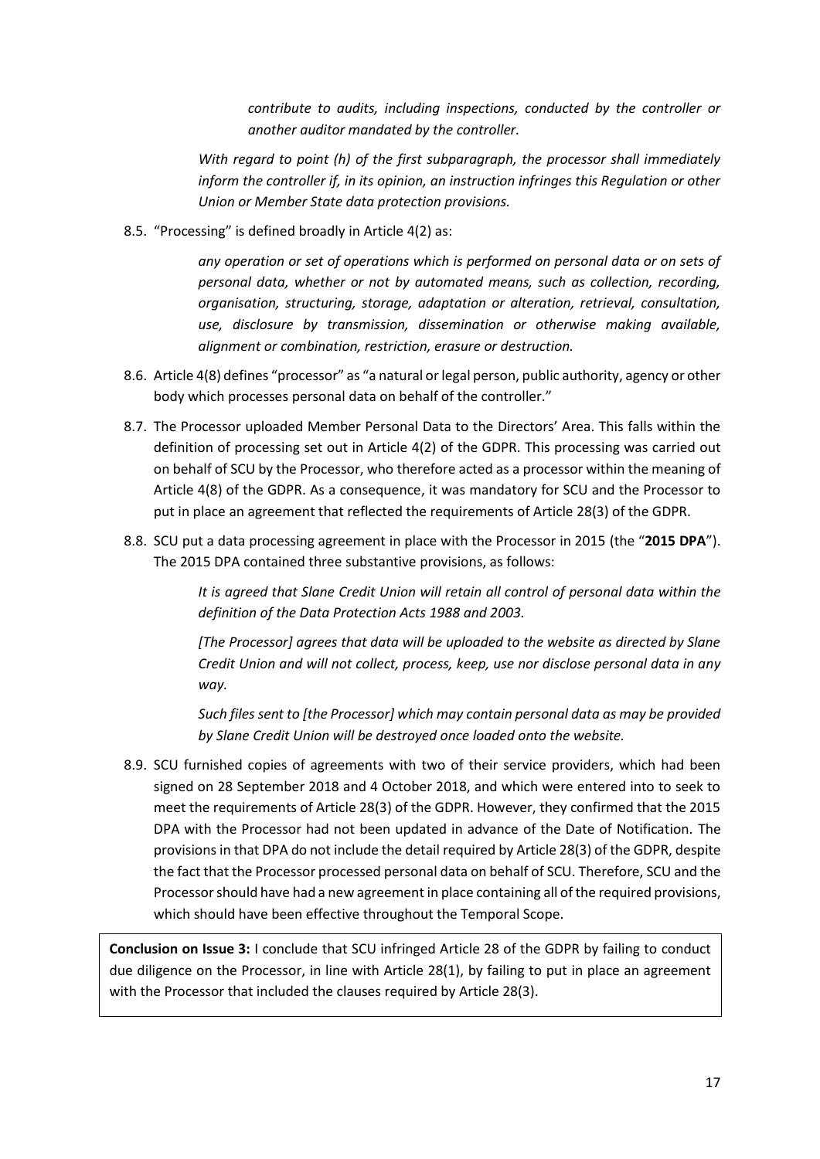*contribute to audits, including inspections, conducted by the controller or another auditor mandated by the controller.* 

*With regard to point (h) of the first subparagraph, the processor shall immediately inform the controller if, in its opinion, an instruction infringes this Regulation or other Union or Member State data protection provisions.*

8.5. "Processing" is defined broadly in Article 4(2) as:

*any operation or set of operations which is performed on personal data or on sets of personal data, whether or not by automated means, such as collection, recording, organisation, structuring, storage, adaptation or alteration, retrieval, consultation, use, disclosure by transmission, dissemination or otherwise making available, alignment or combination, restriction, erasure or destruction.* 

- 8.6. Article 4(8) defines "processor" as "a natural or legal person, public authority, agency or other body which processes personal data on behalf of the controller."
- 8.7. The Processor uploaded Member Personal Data to the Directors' Area. This falls within the definition of processing set out in Article 4(2) of the GDPR. This processing was carried out on behalf of SCU by the Processor, who therefore acted as a processor within the meaning of Article 4(8) of the GDPR. As a consequence, it was mandatory for SCU and the Processor to put in place an agreement that reflected the requirements of Article 28(3) of the GDPR.
- 8.8. SCU put a data processing agreement in place with the Processor in 2015 (the "**2015 DPA**"). The 2015 DPA contained three substantive provisions, as follows:

*It is agreed that Slane Credit Union will retain all control of personal data within the definition of the Data Protection Acts 1988 and 2003.* 

*[The Processor] agrees that data will be uploaded to the website as directed by Slane Credit Union and will not collect, process, keep, use nor disclose personal data in any way.* 

*Such files sent to [the Processor] which may contain personal data as may be provided by Slane Credit Union will be destroyed once loaded onto the website.* 

8.9. SCU furnished copies of agreements with two of their service providers, which had been signed on 28 September 2018 and 4 October 2018, and which were entered into to seek to meet the requirements of Article 28(3) of the GDPR. However, they confirmed that the 2015 DPA with the Processor had not been updated in advance of the Date of Notification. The provisions in that DPA do not include the detail required by Article 28(3) of the GDPR, despite the fact that the Processor processed personal data on behalf of SCU. Therefore, SCU and the Processor should have had a new agreement in place containing all of the required provisions, which should have been effective throughout the Temporal Scope.

**Conclusion on Issue 3:** I conclude that SCU infringed Article 28 of the GDPR by failing to conduct due diligence on the Processor, in line with Article 28(1), by failing to put in place an agreement with the Processor that included the clauses required by Article 28(3).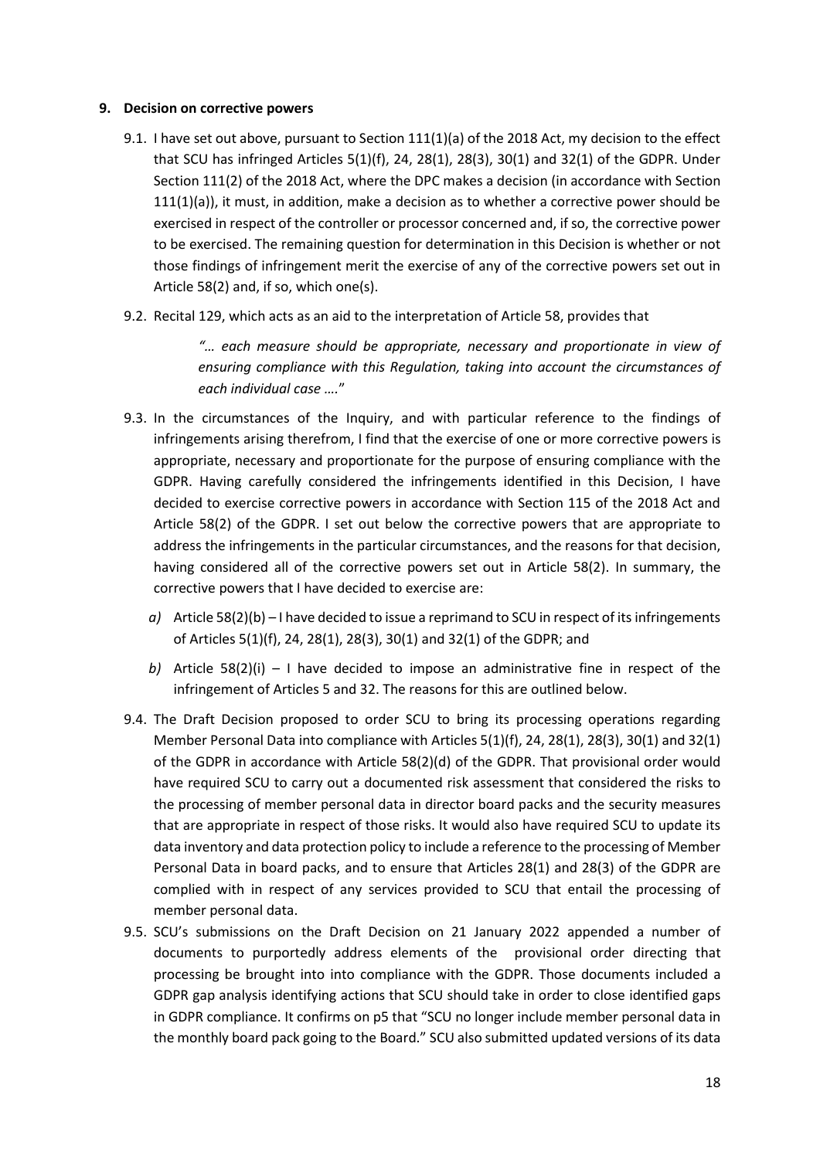#### <span id="page-17-0"></span>**9. Decision on corrective powers**

- 9.1. I have set out above, pursuant to Section 111(1)(a) of the 2018 Act, my decision to the effect that SCU has infringed Articles  $5(1)(f)$ , 24, 28 $(1)$ , 28 $(3)$ , 30 $(1)$  and 32 $(1)$  of the GDPR. Under Section 111(2) of the 2018 Act, where the DPC makes a decision (in accordance with Section 111(1)(a)), it must, in addition, make a decision as to whether a corrective power should be exercised in respect of the controller or processor concerned and, if so, the corrective power to be exercised. The remaining question for determination in this Decision is whether or not those findings of infringement merit the exercise of any of the corrective powers set out in Article 58(2) and, if so, which one(s).
- 9.2. Recital 129, which acts as an aid to the interpretation of Article 58, provides that

*"… each measure should be appropriate, necessary and proportionate in view of ensuring compliance with this Regulation, taking into account the circumstances of each individual case ….*"

- 9.3. In the circumstances of the Inquiry, and with particular reference to the findings of infringements arising therefrom, I find that the exercise of one or more corrective powers is appropriate, necessary and proportionate for the purpose of ensuring compliance with the GDPR. Having carefully considered the infringements identified in this Decision, I have decided to exercise corrective powers in accordance with Section 115 of the 2018 Act and Article 58(2) of the GDPR. I set out below the corrective powers that are appropriate to address the infringements in the particular circumstances, and the reasons for that decision, having considered all of the corrective powers set out in Article 58(2). In summary, the corrective powers that I have decided to exercise are:
	- *a)* Article 58(2)(b) I have decided to issue a reprimand to SCU in respect of its infringements of Articles 5(1)(f), 24, 28(1), 28(3), 30(1) and 32(1) of the GDPR; and
	- *b*) Article 58(2)(i) I have decided to impose an administrative fine in respect of the infringement of Articles 5 and 32. The reasons for this are outlined below.
- 9.4. The Draft Decision proposed to order SCU to bring its processing operations regarding Member Personal Data into compliance with Articles 5(1)(f), 24, 28(1), 28(3), 30(1) and 32(1) of the GDPR in accordance with Article 58(2)(d) of the GDPR. That provisional order would have required SCU to carry out a documented risk assessment that considered the risks to the processing of member personal data in director board packs and the security measures that are appropriate in respect of those risks. It would also have required SCU to update its data inventory and data protection policy to include a reference to the processing of Member Personal Data in board packs, and to ensure that Articles 28(1) and 28(3) of the GDPR are complied with in respect of any services provided to SCU that entail the processing of member personal data.
- 9.5. SCU's submissions on the Draft Decision on 21 January 2022 appended a number of documents to purportedly address elements of the provisional order directing that processing be brought into into compliance with the GDPR. Those documents included a GDPR gap analysis identifying actions that SCU should take in order to close identified gaps in GDPR compliance. It confirms on p5 that "SCU no longer include member personal data in the monthly board pack going to the Board." SCU also submitted updated versions of its data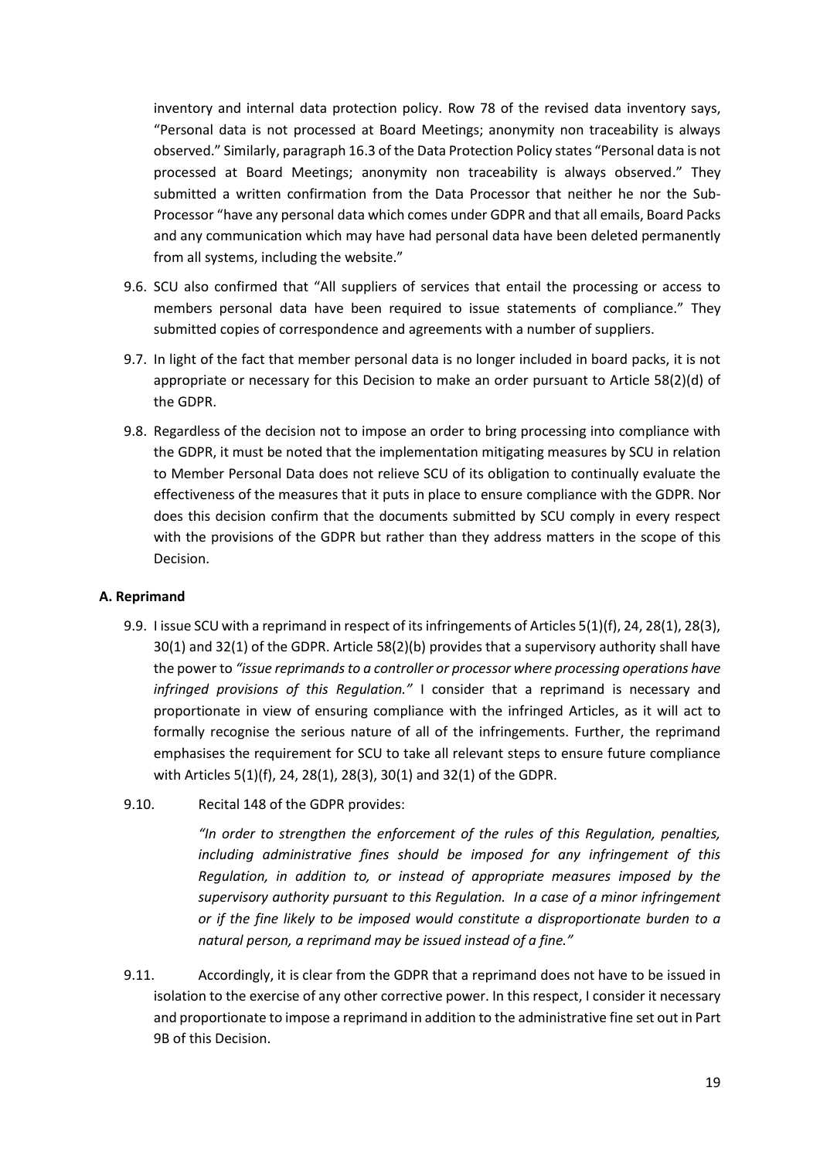inventory and internal data protection policy. Row 78 of the revised data inventory says, "Personal data is not processed at Board Meetings; anonymity non traceability is always observed." Similarly, paragraph 16.3 of the Data Protection Policy states "Personal data is not processed at Board Meetings; anonymity non traceability is always observed." They submitted a written confirmation from the Data Processor that neither he nor the Sub-Processor "have any personal data which comes under GDPR and that all emails, Board Packs and any communication which may have had personal data have been deleted permanently from all systems, including the website."

- 9.6. SCU also confirmed that "All suppliers of services that entail the processing or access to members personal data have been required to issue statements of compliance." They submitted copies of correspondence and agreements with a number of suppliers.
- 9.7. In light of the fact that member personal data is no longer included in board packs, it is not appropriate or necessary for this Decision to make an order pursuant to Article 58(2)(d) of the GDPR.
- 9.8. Regardless of the decision not to impose an order to bring processing into compliance with the GDPR, it must be noted that the implementation mitigating measures by SCU in relation to Member Personal Data does not relieve SCU of its obligation to continually evaluate the effectiveness of the measures that it puts in place to ensure compliance with the GDPR. Nor does this decision confirm that the documents submitted by SCU comply in every respect with the provisions of the GDPR but rather than they address matters in the scope of this Decision.

### <span id="page-18-0"></span>**A. Reprimand**

- 9.9. I issue SCU with a reprimand in respect of its infringements of Articles 5(1)(f), 24, 28(1), 28(3), 30(1) and 32(1) of the GDPR. Article 58(2)(b) provides that a supervisory authority shall have the power to *"issue reprimands to a controller or processor where processing operations have infringed provisions of this Regulation."* I consider that a reprimand is necessary and proportionate in view of ensuring compliance with the infringed Articles, as it will act to formally recognise the serious nature of all of the infringements. Further, the reprimand emphasises the requirement for SCU to take all relevant steps to ensure future compliance with Articles 5(1)(f), 24, 28(1), 28(3), 30(1) and 32(1) of the GDPR.
- 9.10. Recital 148 of the GDPR provides:

*"In order to strengthen the enforcement of the rules of this Regulation, penalties, including administrative fines should be imposed for any infringement of this Regulation, in addition to, or instead of appropriate measures imposed by the supervisory authority pursuant to this Regulation. In a case of a minor infringement or if the fine likely to be imposed would constitute a disproportionate burden to a natural person, a reprimand may be issued instead of a fine."*

9.11. Accordingly, it is clear from the GDPR that a reprimand does not have to be issued in isolation to the exercise of any other corrective power. In this respect, I consider it necessary and proportionate to impose a reprimand in addition to the administrative fine set out in Part 9B of this Decision.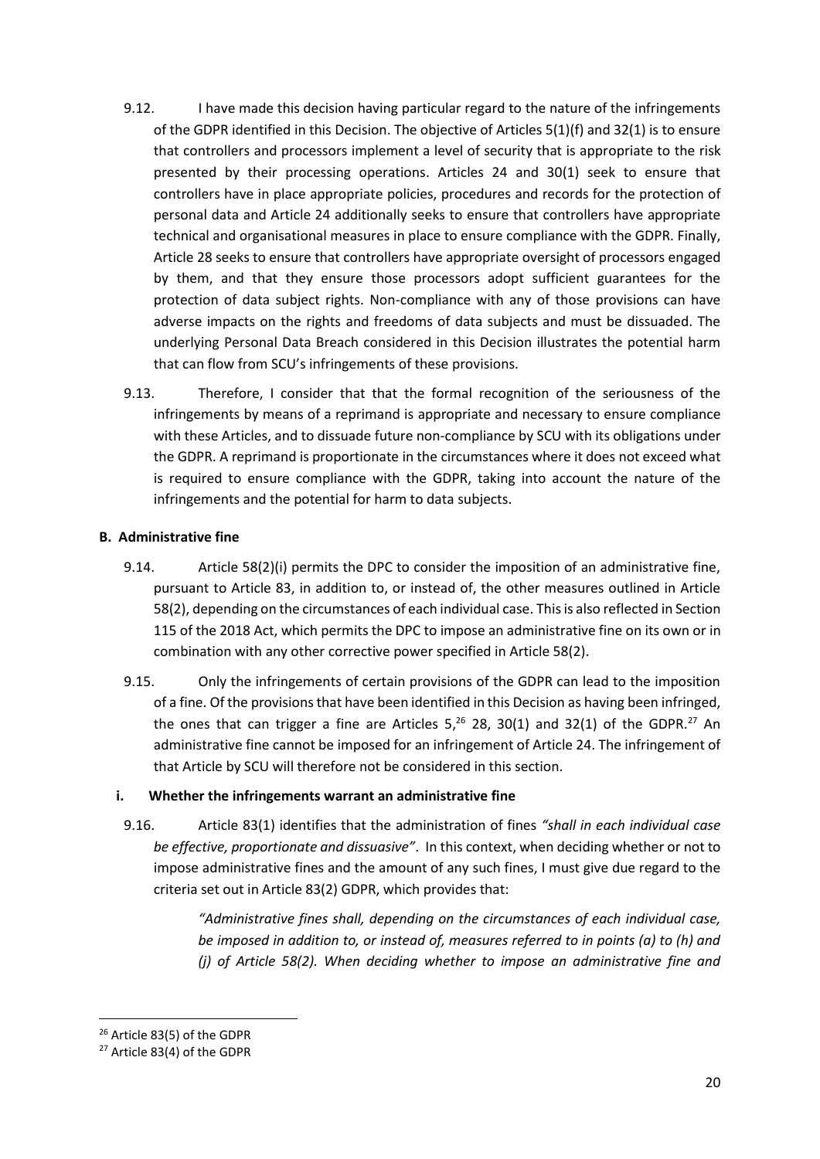- 9.12. I have made this decision having particular regard to the nature of the infringements of the GDPR identified in this Decision. The objective of Articles 5(1)(f) and 32(1) is to ensure that controllers and processors implement a level of security that is appropriate to the risk presented by their processing operations. Articles 24 and 30(1) seek to ensure that controllers have in place appropriate policies, procedures and records for the protection of personal data and Article 24 additionally seeks to ensure that controllers have appropriate technical and organisational measures in place to ensure compliance with the GDPR. Finally, Article 28 seeks to ensure that controllers have appropriate oversight of processors engaged by them, and that they ensure those processors adopt sufficient guarantees for the protection of data subject rights. Non-compliance with any of those provisions can have adverse impacts on the rights and freedoms of data subjects and must be dissuaded. The underlying Personal Data Breach considered in this Decision illustrates the potential harm that can flow from SCU's infringements of these provisions.
- 9.13. Therefore, I consider that that the formal recognition of the seriousness of the infringements by means of a reprimand is appropriate and necessary to ensure compliance with these Articles, and to dissuade future non-compliance by SCU with its obligations under the GDPR. A reprimand is proportionate in the circumstances where it does not exceed what is required to ensure compliance with the GDPR, taking into account the nature of the infringements and the potential for harm to data subjects.

### <span id="page-19-0"></span>**B. Administrative fine**

- 9.14. Article 58(2)(i) permits the DPC to consider the imposition of an administrative fine, pursuant to Article 83, in addition to, or instead of, the other measures outlined in Article 58(2), depending on the circumstances of each individual case. This is also reflected in Section 115 of the 2018 Act, which permits the DPC to impose an administrative fine on its own or in combination with any other corrective power specified in Article 58(2).
- 9.15. Only the infringements of certain provisions of the GDPR can lead to the imposition of a fine. Of the provisions that have been identified in this Decision as having been infringed, the ones that can trigger a fine are Articles  $5,26$  28, 30(1) and 32(1) of the GDPR.<sup>27</sup> An administrative fine cannot be imposed for an infringement of Article 24. The infringement of that Article by SCU will therefore not be considered in this section.

### **i. Whether the infringements warrant an administrative fine**

9.16. Article 83(1) identifies that the administration of fines *"shall in each individual case be effective, proportionate and dissuasive"*. In this context, when deciding whether or not to impose administrative fines and the amount of any such fines, I must give due regard to the criteria set out in Article 83(2) GDPR, which provides that:

> *"Administrative fines shall, depending on the circumstances of each individual case, be imposed in addition to, or instead of, measures referred to in points (a) to (h) and (j) of Article 58(2). When deciding whether to impose an administrative fine and*

1

<sup>26</sup> Article 83(5) of the GDPR

<sup>27</sup> Article 83(4) of the GDPR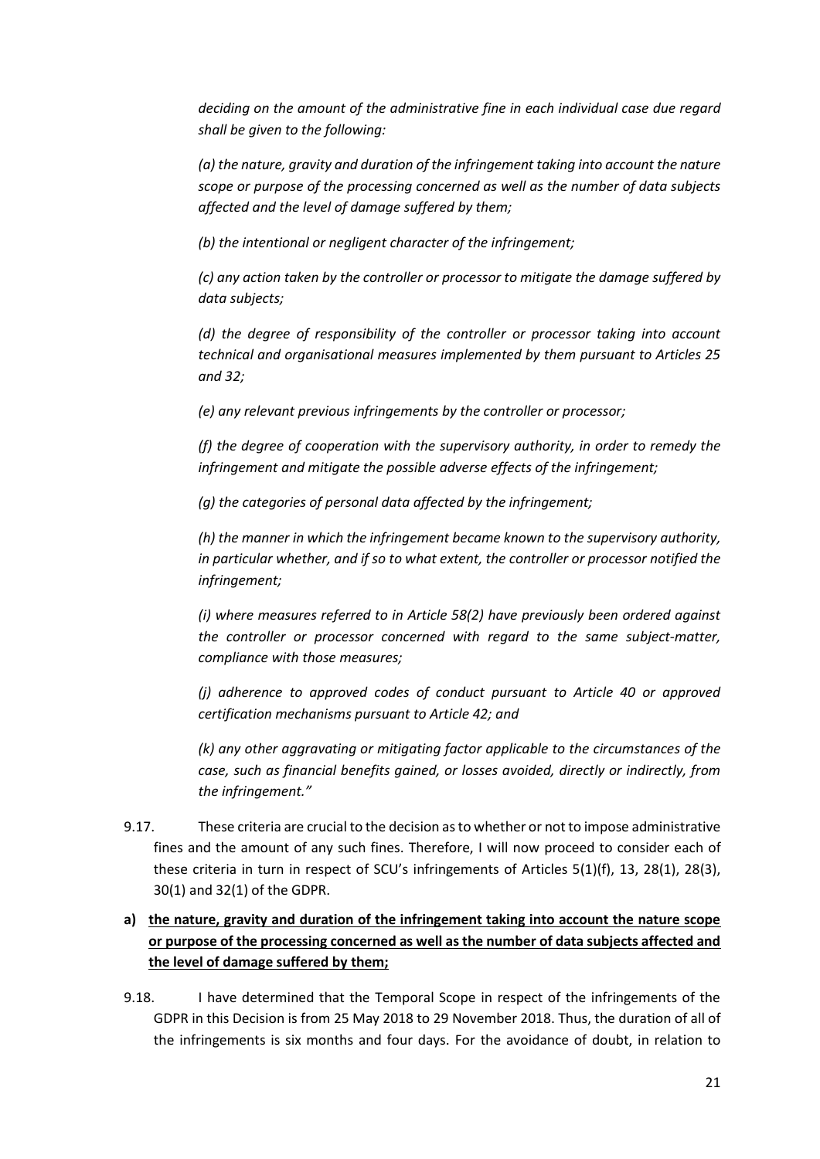*deciding on the amount of the administrative fine in each individual case due regard shall be given to the following:* 

*(a) the nature, gravity and duration of the infringement taking into account the nature scope or purpose of the processing concerned as well as the number of data subjects affected and the level of damage suffered by them;* 

*(b) the intentional or negligent character of the infringement;* 

*(c) any action taken by the controller or processor to mitigate the damage suffered by data subjects;*

*(d) the degree of responsibility of the controller or processor taking into account technical and organisational measures implemented by them pursuant to Articles 25 and 32;* 

*(e) any relevant previous infringements by the controller or processor;* 

*(f) the degree of cooperation with the supervisory authority, in order to remedy the infringement and mitigate the possible adverse effects of the infringement;* 

*(g) the categories of personal data affected by the infringement;* 

*(h) the manner in which the infringement became known to the supervisory authority, in particular whether, and if so to what extent, the controller or processor notified the infringement;* 

*(i) where measures referred to in Article 58(2) have previously been ordered against the controller or processor concerned with regard to the same subject-matter, compliance with those measures;* 

*(j) adherence to approved codes of conduct pursuant to Article 40 or approved certification mechanisms pursuant to Article 42; and* 

*(k) any other aggravating or mitigating factor applicable to the circumstances of the case, such as financial benefits gained, or losses avoided, directly or indirectly, from the infringement."*

9.17. These criteria are crucial to the decision as to whether or not to impose administrative fines and the amount of any such fines. Therefore, I will now proceed to consider each of these criteria in turn in respect of SCU's infringements of Articles 5(1)(f), 13, 28(1), 28(3), 30(1) and 32(1) of the GDPR.

# **a) the nature, gravity and duration of the infringement taking into account the nature scope or purpose of the processing concerned as well as the number of data subjects affected and the level of damage suffered by them;**

9.18. I have determined that the Temporal Scope in respect of the infringements of the GDPR in this Decision is from 25 May 2018 to 29 November 2018. Thus, the duration of all of the infringements is six months and four days. For the avoidance of doubt, in relation to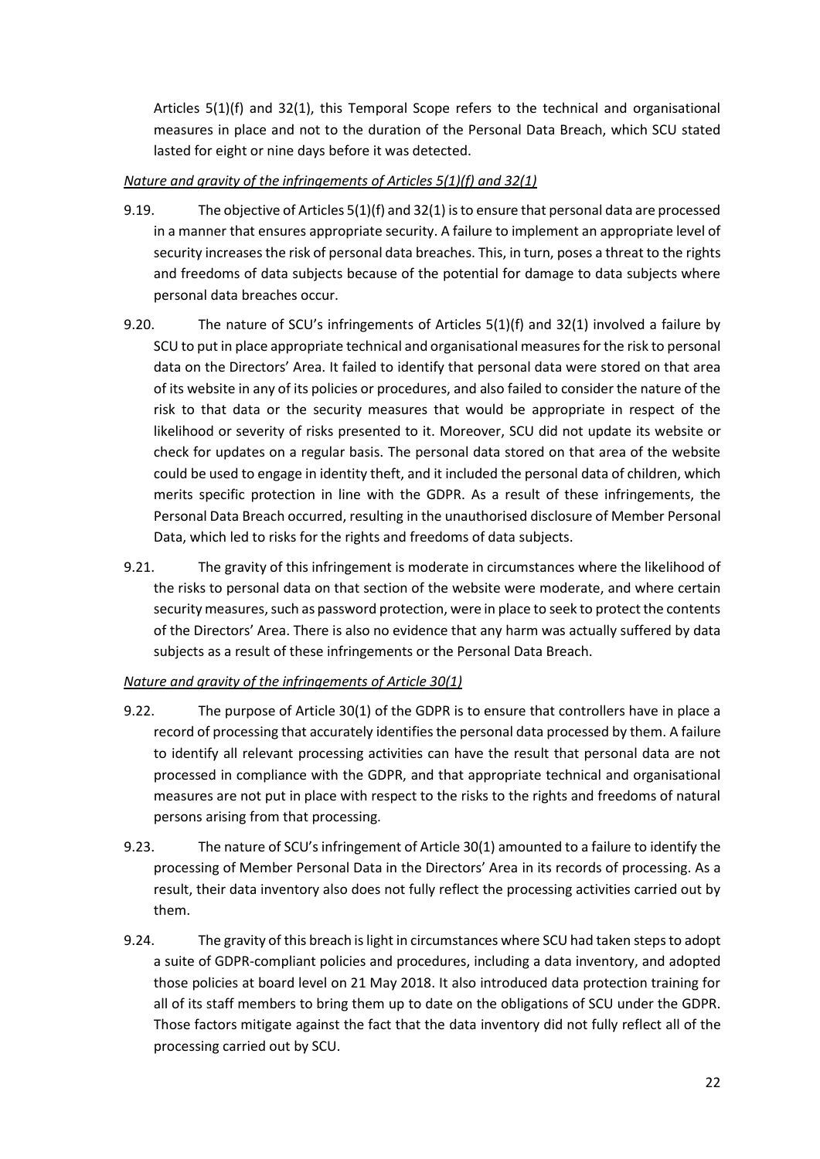Articles 5(1)(f) and 32(1), this Temporal Scope refers to the technical and organisational measures in place and not to the duration of the Personal Data Breach, which SCU stated lasted for eight or nine days before it was detected.

### *Nature and gravity of the infringements of Articles 5(1)(f) and 32(1)*

- 9.19. The objective of Articles 5(1)(f) and 32(1) is to ensure that personal data are processed in a manner that ensures appropriate security. A failure to implement an appropriate level of security increases the risk of personal data breaches. This, in turn, poses a threat to the rights and freedoms of data subjects because of the potential for damage to data subjects where personal data breaches occur.
- 9.20. The nature of SCU's infringements of Articles 5(1)(f) and 32(1) involved a failure by SCU to put in place appropriate technical and organisational measures for the risk to personal data on the Directors' Area. It failed to identify that personal data were stored on that area of its website in any of its policies or procedures, and also failed to consider the nature of the risk to that data or the security measures that would be appropriate in respect of the likelihood or severity of risks presented to it. Moreover, SCU did not update its website or check for updates on a regular basis. The personal data stored on that area of the website could be used to engage in identity theft, and it included the personal data of children, which merits specific protection in line with the GDPR. As a result of these infringements, the Personal Data Breach occurred, resulting in the unauthorised disclosure of Member Personal Data, which led to risks for the rights and freedoms of data subjects.
- 9.21. The gravity of this infringement is moderate in circumstances where the likelihood of the risks to personal data on that section of the website were moderate, and where certain security measures, such as password protection, were in place to seek to protect the contents of the Directors' Area. There is also no evidence that any harm was actually suffered by data subjects as a result of these infringements or the Personal Data Breach.

# *Nature and gravity of the infringements of Article 30(1)*

- 9.22. The purpose of Article 30(1) of the GDPR is to ensure that controllers have in place a record of processing that accurately identifies the personal data processed by them. A failure to identify all relevant processing activities can have the result that personal data are not processed in compliance with the GDPR, and that appropriate technical and organisational measures are not put in place with respect to the risks to the rights and freedoms of natural persons arising from that processing.
- 9.23. The nature of SCU's infringement of Article 30(1) amounted to a failure to identify the processing of Member Personal Data in the Directors' Area in its records of processing. As a result, their data inventory also does not fully reflect the processing activities carried out by them.
- 9.24. The gravity of this breach is light in circumstances where SCU had taken steps to adopt a suite of GDPR-compliant policies and procedures, including a data inventory, and adopted those policies at board level on 21 May 2018. It also introduced data protection training for all of its staff members to bring them up to date on the obligations of SCU under the GDPR. Those factors mitigate against the fact that the data inventory did not fully reflect all of the processing carried out by SCU.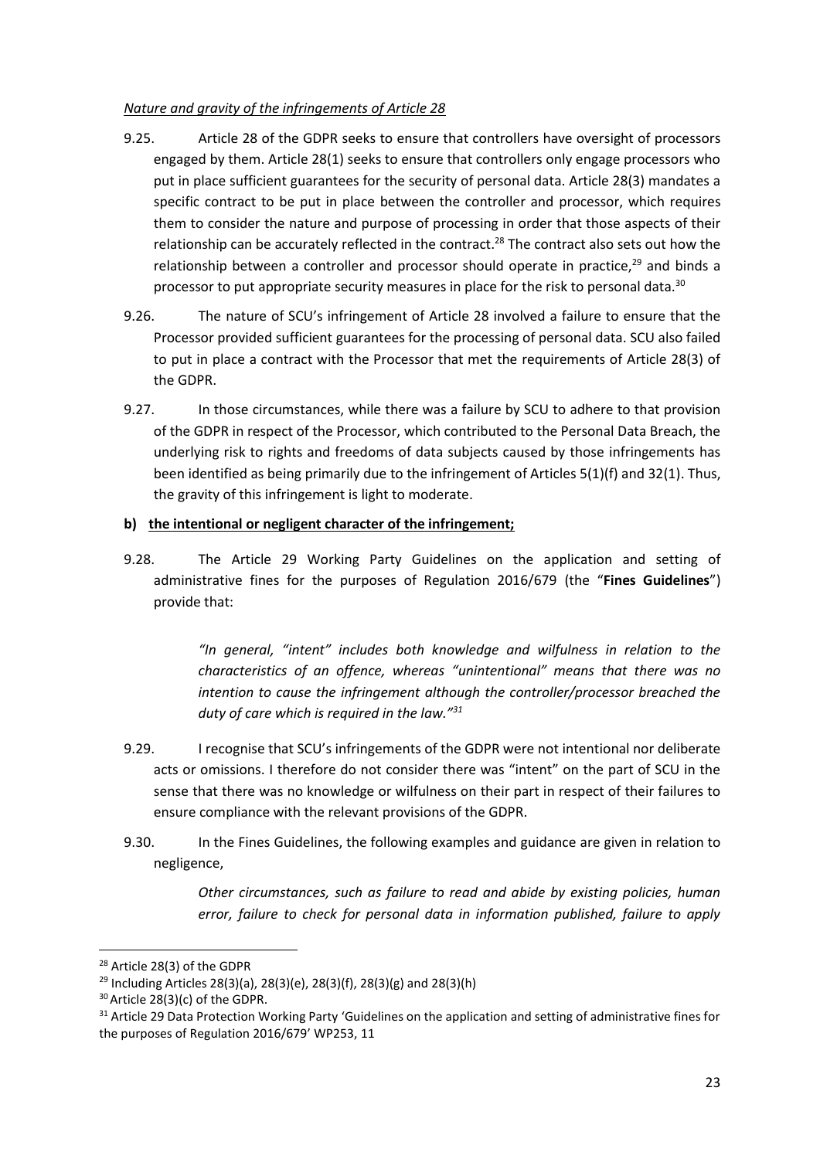### *Nature and gravity of the infringements of Article 28*

- 9.25. Article 28 of the GDPR seeks to ensure that controllers have oversight of processors engaged by them. Article 28(1) seeks to ensure that controllers only engage processors who put in place sufficient guarantees for the security of personal data. Article 28(3) mandates a specific contract to be put in place between the controller and processor, which requires them to consider the nature and purpose of processing in order that those aspects of their relationship can be accurately reflected in the contract.<sup>28</sup> The contract also sets out how the relationship between a controller and processor should operate in practice, $29$  and binds a processor to put appropriate security measures in place for the risk to personal data.<sup>30</sup>
- 9.26. The nature of SCU's infringement of Article 28 involved a failure to ensure that the Processor provided sufficient guarantees for the processing of personal data. SCU also failed to put in place a contract with the Processor that met the requirements of Article 28(3) of the GDPR.
- 9.27. In those circumstances, while there was a failure by SCU to adhere to that provision of the GDPR in respect of the Processor, which contributed to the Personal Data Breach, the underlying risk to rights and freedoms of data subjects caused by those infringements has been identified as being primarily due to the infringement of Articles 5(1)(f) and 32(1). Thus, the gravity of this infringement is light to moderate.

### **b) the intentional or negligent character of the infringement;**

9.28. The Article 29 Working Party Guidelines on the application and setting of administrative fines for the purposes of Regulation 2016/679 (the "**Fines Guidelines**") provide that:

> *"In general, "intent" includes both knowledge and wilfulness in relation to the characteristics of an offence, whereas "unintentional" means that there was no intention to cause the infringement although the controller/processor breached the duty of care which is required in the law."<sup>31</sup>*

- 9.29. I recognise that SCU's infringements of the GDPR were not intentional nor deliberate acts or omissions. I therefore do not consider there was "intent" on the part of SCU in the sense that there was no knowledge or wilfulness on their part in respect of their failures to ensure compliance with the relevant provisions of the GDPR.
- 9.30. In the Fines Guidelines, the following examples and guidance are given in relation to negligence,

*Other circumstances, such as failure to read and abide by existing policies, human error, failure to check for personal data in information published, failure to apply* 

<sup>28</sup> Article 28(3) of the GDPR

 $29$  Including Articles 28(3)(a), 28(3)(e), 28(3)(f), 28(3)(g) and 28(3)(h)

<sup>30</sup>Article 28(3)(c) of the GDPR.

<sup>&</sup>lt;sup>31</sup> Article 29 Data Protection Working Party 'Guidelines on the application and setting of administrative fines for the purposes of Regulation 2016/679' WP253, 11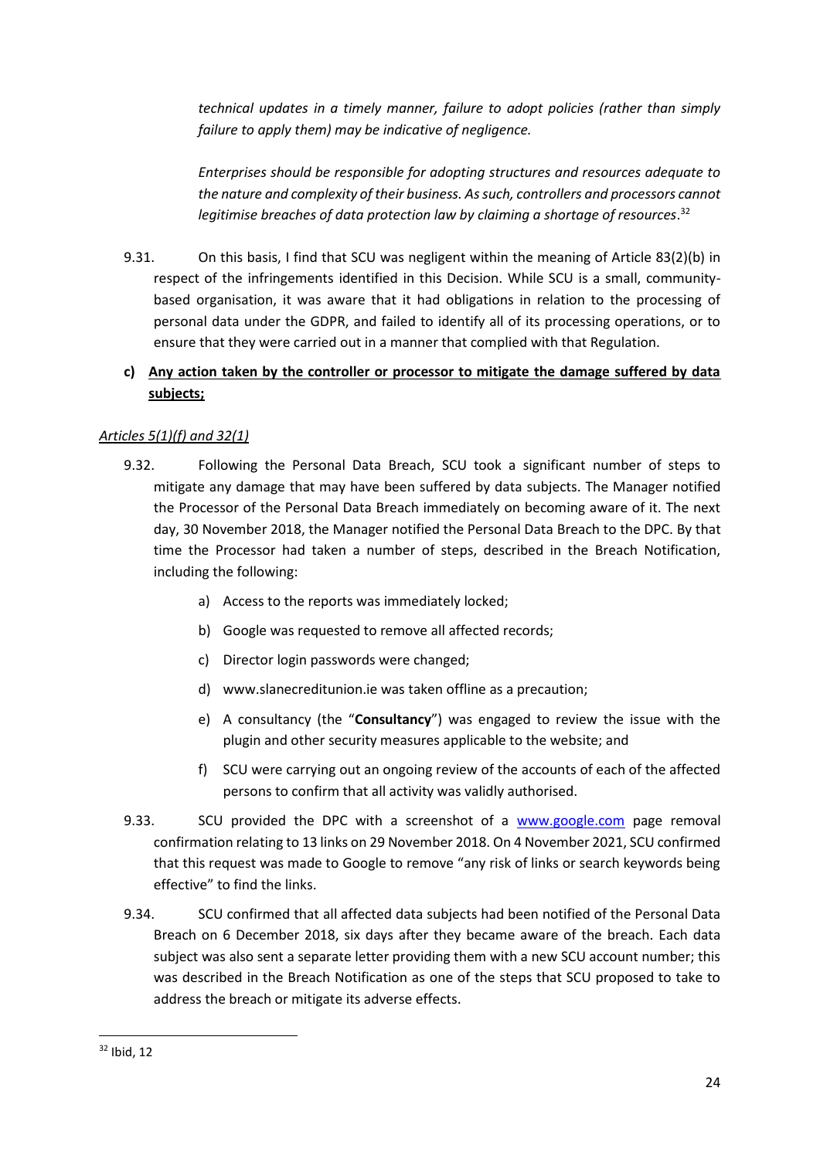*technical updates in a timely manner, failure to adopt policies (rather than simply failure to apply them) may be indicative of negligence.*

*Enterprises should be responsible for adopting structures and resources adequate to the nature and complexity of their business. As such, controllers and processors cannot legitimise breaches of data protection law by claiming a shortage of resources*. 32

9.31. On this basis, I find that SCU was negligent within the meaning of Article 83(2)(b) in respect of the infringements identified in this Decision. While SCU is a small, communitybased organisation, it was aware that it had obligations in relation to the processing of personal data under the GDPR, and failed to identify all of its processing operations, or to ensure that they were carried out in a manner that complied with that Regulation.

# **c) Any action taken by the controller or processor to mitigate the damage suffered by data subjects;**

### *Articles 5(1)(f) and 32(1)*

- <span id="page-23-0"></span>9.32. Following the Personal Data Breach, SCU took a significant number of steps to mitigate any damage that may have been suffered by data subjects. The Manager notified the Processor of the Personal Data Breach immediately on becoming aware of it. The next day, 30 November 2018, the Manager notified the Personal Data Breach to the DPC. By that time the Processor had taken a number of steps, described in the Breach Notification, including the following:
	- a) Access to the reports was immediately locked;
	- b) Google was requested to remove all affected records;
	- c) Director login passwords were changed;
	- d) [www.slanecreditunion.ie](http://www.slanecreditunion.ie/) was taken offline as a precaution;
	- e) A consultancy (the "**Consultancy**") was engaged to review the issue with the plugin and other security measures applicable to the website; and
	- f) SCU were carrying out an ongoing review of the accounts of each of the affected persons to confirm that all activity was validly authorised.
- 9.33. SCU provided the DPC with a screenshot of a [www.google.com](http://www.google.com/) page removal confirmation relating to 13 links on 29 November 2018. On 4 November 2021, SCU confirmed that this request was made to Google to remove "any risk of links or search keywords being effective" to find the links.
- 9.34. SCU confirmed that all affected data subjects had been notified of the Personal Data Breach on 6 December 2018, six days after they became aware of the breach. Each data subject was also sent a separate letter providing them with a new SCU account number; this was described in the Breach Notification as one of the steps that SCU proposed to take to address the breach or mitigate its adverse effects.

<sup>32</sup> Ibid, 12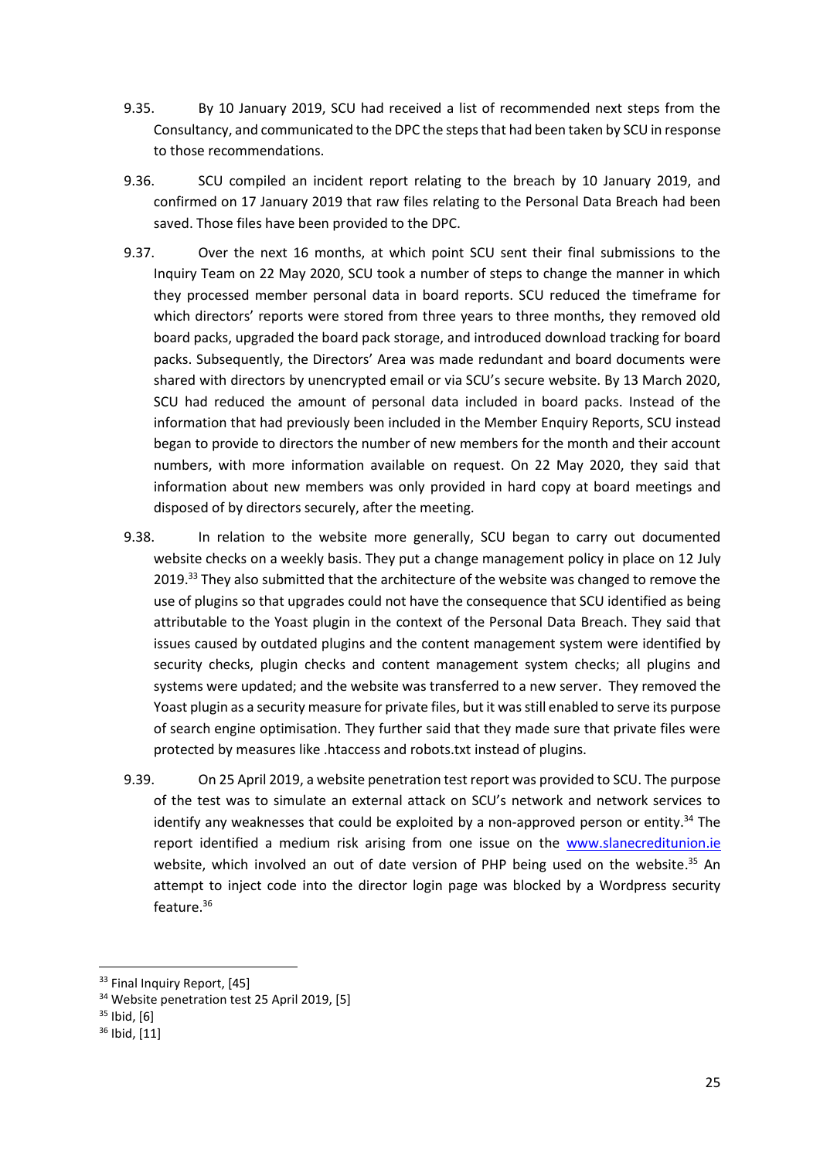- 9.35. By 10 January 2019, SCU had received a list of recommended next steps from the Consultancy, and communicated to the DPC the steps that had been taken by SCU in response to those recommendations.
- 9.36. SCU compiled an incident report relating to the breach by 10 January 2019, and confirmed on 17 January 2019 that raw files relating to the Personal Data Breach had been saved. Those files have been provided to the DPC.
- 9.37. Over the next 16 months, at which point SCU sent their final submissions to the Inquiry Team on 22 May 2020, SCU took a number of steps to change the manner in which they processed member personal data in board reports. SCU reduced the timeframe for which directors' reports were stored from three years to three months, they removed old board packs, upgraded the board pack storage, and introduced download tracking for board packs. Subsequently, the Directors' Area was made redundant and board documents were shared with directors by unencrypted email or via SCU's secure website. By 13 March 2020, SCU had reduced the amount of personal data included in board packs. Instead of the information that had previously been included in the Member Enquiry Reports, SCU instead began to provide to directors the number of new members for the month and their account numbers, with more information available on request. On 22 May 2020, they said that information about new members was only provided in hard copy at board meetings and disposed of by directors securely, after the meeting.
- 9.38. In relation to the website more generally, SCU began to carry out documented website checks on a weekly basis. They put a change management policy in place on 12 July 2019.<sup>33</sup> They also submitted that the architecture of the website was changed to remove the use of plugins so that upgrades could not have the consequence that SCU identified as being attributable to the Yoast plugin in the context of the Personal Data Breach. They said that issues caused by outdated plugins and the content management system were identified by security checks, plugin checks and content management system checks; all plugins and systems were updated; and the website was transferred to a new server. They removed the Yoast plugin as a security measure for private files, but it was still enabled to serve its purpose of search engine optimisation. They further said that they made sure that private files were protected by measures like .htaccess and robots.txt instead of plugins.
- 9.39. On 25 April 2019, a website penetration test report was provided to SCU. The purpose of the test was to simulate an external attack on SCU's network and network services to identify any weaknesses that could be exploited by a non-approved person or entity.<sup>34</sup> The report identified a medium risk arising from one issue on the [www.slanecreditunion.ie](http://www.slanecreditunion.ie/) website, which involved an out of date version of PHP being used on the website.<sup>35</sup> An attempt to inject code into the director login page was blocked by a Wordpress security feature.<sup>36</sup>

 $\overline{a}$ 

<sup>&</sup>lt;sup>33</sup> Final Inquiry Report, [45]

<sup>&</sup>lt;sup>34</sup> Website penetration test 25 April 2019, [5]

 $35$  Ibid,  $[6]$ 

<sup>36</sup> Ibid, [11]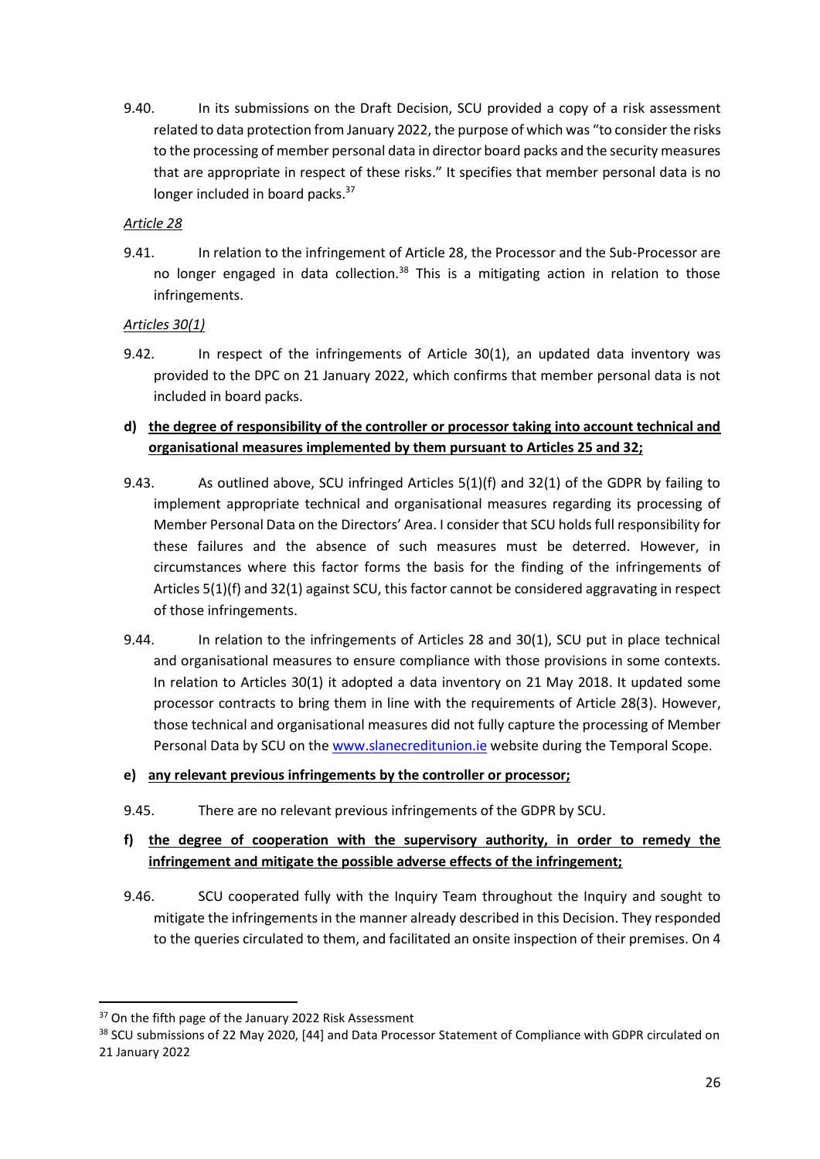<span id="page-25-0"></span>9.40. In its submissions on the Draft Decision, SCU provided a copy of a risk assessment related to data protection from January 2022, the purpose of which was "to consider the risks to the processing of member personal data in director board packs and the security measures that are appropriate in respect of these risks." It specifies that member personal data is no longer included in board packs.<sup>37</sup>

### *Article 28*

9.41. In relation to the infringement of Article 28, the Processor and the Sub-Processor are no longer engaged in data collection. $38$  This is a mitigating action in relation to those infringements.

### *Articles 30(1)*

9.42. In respect of the infringements of Article 30(1), an updated data inventory was provided to the DPC on 21 January 2022, which confirms that member personal data is not included in board packs.

# **d) the degree of responsibility of the controller or processor taking into account technical and organisational measures implemented by them pursuant to Articles 25 and 32;**

- 9.43. As outlined above, SCU infringed Articles 5(1)(f) and 32(1) of the GDPR by failing to implement appropriate technical and organisational measures regarding its processing of Member Personal Data on the Directors' Area. I consider that SCU holds full responsibility for these failures and the absence of such measures must be deterred. However, in circumstances where this factor forms the basis for the finding of the infringements of Articles 5(1)(f) and 32(1) against SCU, this factor cannot be considered aggravating in respect of those infringements.
- 9.44. In relation to the infringements of Articles 28 and 30(1), SCU put in place technical and organisational measures to ensure compliance with those provisions in some contexts. In relation to Articles 30(1) it adopted a data inventory on 21 May 2018. It updated some processor contracts to bring them in line with the requirements of Article 28(3). However, those technical and organisational measures did not fully capture the processing of Member Personal Data by SCU on th[e www.slanecreditunion.ie](http://www.slanecreditunion.ie/) website during the Temporal Scope.

### **e) any relevant previous infringements by the controller or processor;**

9.45. There are no relevant previous infringements of the GDPR by SCU.

# **f) the degree of cooperation with the supervisory authority, in order to remedy the infringement and mitigate the possible adverse effects of the infringement;**

9.46. SCU cooperated fully with the Inquiry Team throughout the Inquiry and sought to mitigate the infringements in the manner already described in this Decision. They responded to the queries circulated to them, and facilitated an onsite inspection of their premises. On 4

<sup>&</sup>lt;sup>37</sup> On the fifth page of the January 2022 Risk Assessment

<sup>38</sup> SCU submissions of 22 May 2020, [44] and Data Processor Statement of Compliance with GDPR circulated on 21 January 2022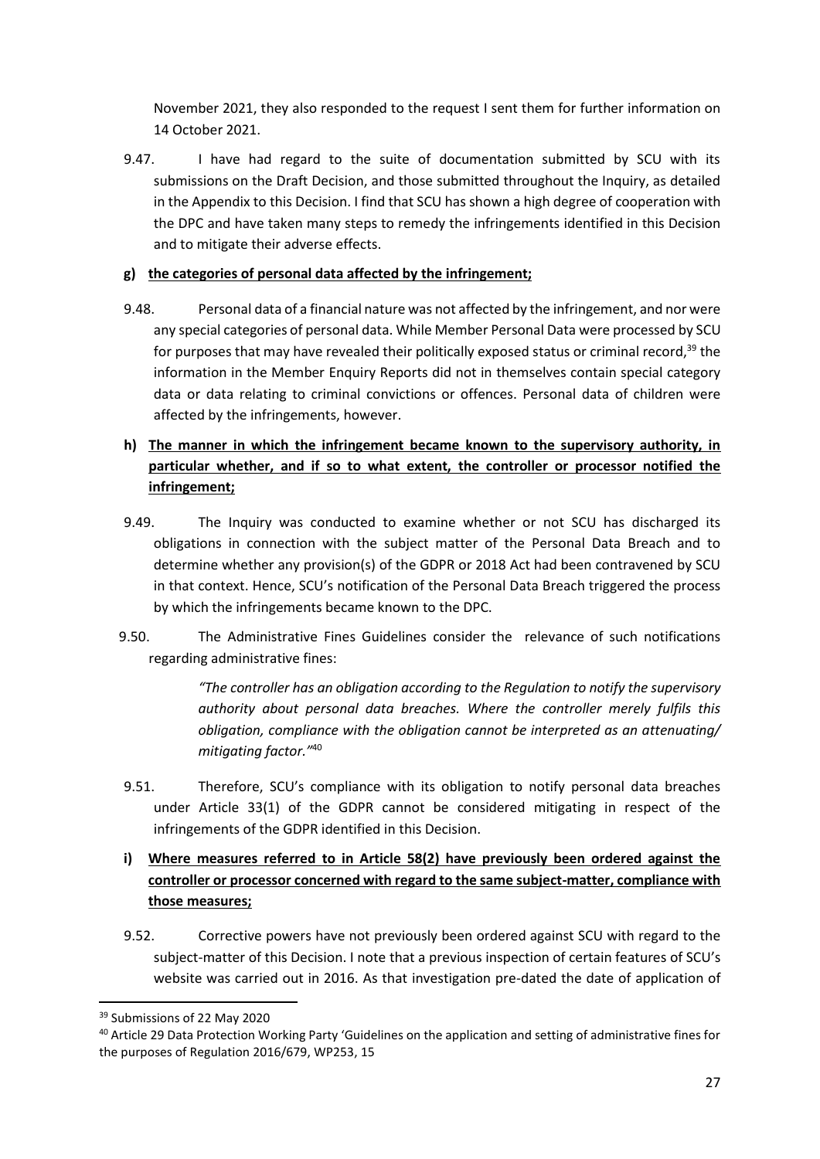November 2021, they also responded to the request I sent them for further information on 14 October 2021.

9.47. I have had regard to the suite of documentation submitted by SCU with its submissions on the Draft Decision, and those submitted throughout the Inquiry, as detailed in the Appendix to this Decision. I find that SCU has shown a high degree of cooperation with the DPC and have taken many steps to remedy the infringements identified in this Decision and to mitigate their adverse effects.

## **g) the categories of personal data affected by the infringement;**

9.48. Personal data of a financial nature was not affected by the infringement, and nor were any special categories of personal data. While Member Personal Data were processed by SCU for purposes that may have revealed their politically exposed status or criminal record,<sup>39</sup> the information in the Member Enquiry Reports did not in themselves contain special category data or data relating to criminal convictions or offences. Personal data of children were affected by the infringements, however.

# **h) The manner in which the infringement became known to the supervisory authority, in particular whether, and if so to what extent, the controller or processor notified the infringement;**

- 9.49. The Inquiry was conducted to examine whether or not SCU has discharged its obligations in connection with the subject matter of the Personal Data Breach and to determine whether any provision(s) of the GDPR or 2018 Act had been contravened by SCU in that context. Hence, SCU's notification of the Personal Data Breach triggered the process by which the infringements became known to the DPC.
- 9.50. The Administrative Fines Guidelines consider the relevance of such notifications regarding administrative fines:

*"The controller has an obligation according to the Regulation to notify the supervisory authority about personal data breaches. Where the controller merely fulfils this obligation, compliance with the obligation cannot be interpreted as an attenuating/ mitigating factor."*<sup>40</sup>

- 9.51. Therefore, SCU's compliance with its obligation to notify personal data breaches under Article 33(1) of the GDPR cannot be considered mitigating in respect of the infringements of the GDPR identified in this Decision.
- **i) Where measures referred to in Article 58(2) have previously been ordered against the controller or processor concerned with regard to the same subject-matter, compliance with those measures;**
- 9.52. Corrective powers have not previously been ordered against SCU with regard to the subject-matter of this Decision. I note that a previous inspection of certain features of SCU's website was carried out in 2016. As that investigation pre-dated the date of application of

<sup>39</sup> Submissions of 22 May 2020

<sup>40</sup> Article 29 Data Protection Working Party 'Guidelines on the application and setting of administrative fines for the purposes of Regulation 2016/679, WP253, 15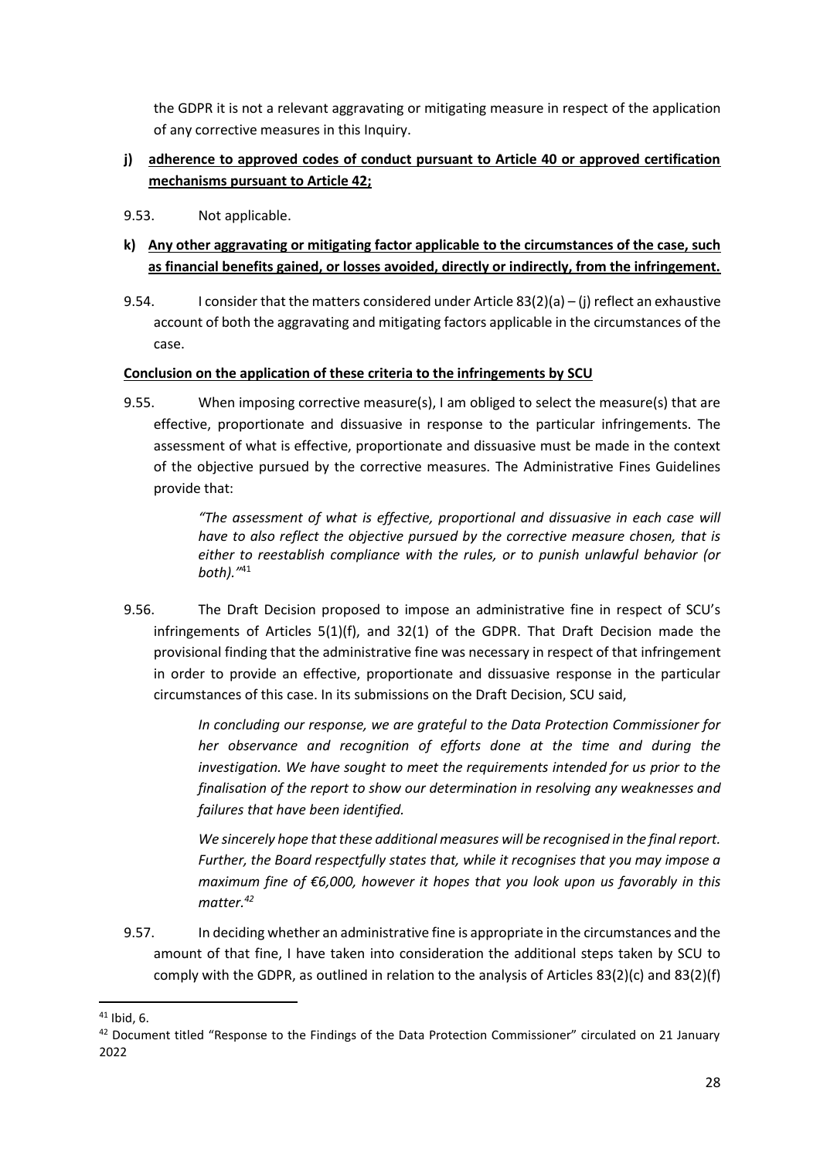the GDPR it is not a relevant aggravating or mitigating measure in respect of the application of any corrective measures in this Inquiry.

# **j) adherence to approved codes of conduct pursuant to Article 40 or approved certification mechanisms pursuant to Article 42;**

- 9.53. Not applicable.
- **k) Any other aggravating or mitigating factor applicable to the circumstances of the case, such as financial benefits gained, or losses avoided, directly or indirectly, from the infringement.**
- 9.54. I consider that the matters considered under Article 83(2)(a) (j) reflect an exhaustive account of both the aggravating and mitigating factors applicable in the circumstances of the case.

### **Conclusion on the application of these criteria to the infringements by SCU**

9.55. When imposing corrective measure(s), I am obliged to select the measure(s) that are effective, proportionate and dissuasive in response to the particular infringements. The assessment of what is effective, proportionate and dissuasive must be made in the context of the objective pursued by the corrective measures. The Administrative Fines Guidelines provide that:

> *"The assessment of what is effective, proportional and dissuasive in each case will have to also reflect the objective pursued by the corrective measure chosen, that is either to reestablish compliance with the rules, or to punish unlawful behavior (or both)."*<sup>41</sup>

9.56. The Draft Decision proposed to impose an administrative fine in respect of SCU's infringements of Articles 5(1)(f), and 32(1) of the GDPR. That Draft Decision made the provisional finding that the administrative fine was necessary in respect of that infringement in order to provide an effective, proportionate and dissuasive response in the particular circumstances of this case. In its submissions on the Draft Decision, SCU said,

> <span id="page-27-0"></span>*In concluding our response, we are grateful to the Data Protection Commissioner for her observance and recognition of efforts done at the time and during the investigation. We have sought to meet the requirements intended for us prior to the finalisation of the report to show our determination in resolving any weaknesses and failures that have been identified.*

> *We sincerely hope that these additional measures will be recognised in the final report. Further, the Board respectfully states that, while it recognises that you may impose a maximum fine of €6,000, however it hopes that you look upon us favorably in this matter.<sup>42</sup>*

9.57. In deciding whether an administrative fine is appropriate in the circumstances and the amount of that fine, I have taken into consideration the additional steps taken by SCU to comply with the GDPR, as outlined in relation to the analysis of Articles 83(2)(c) and 83(2)(f)

**<sup>.</sup>** <sup>41</sup> Ibid, 6.

<sup>&</sup>lt;sup>42</sup> Document titled "Response to the Findings of the Data Protection Commissioner" circulated on 21 January 2022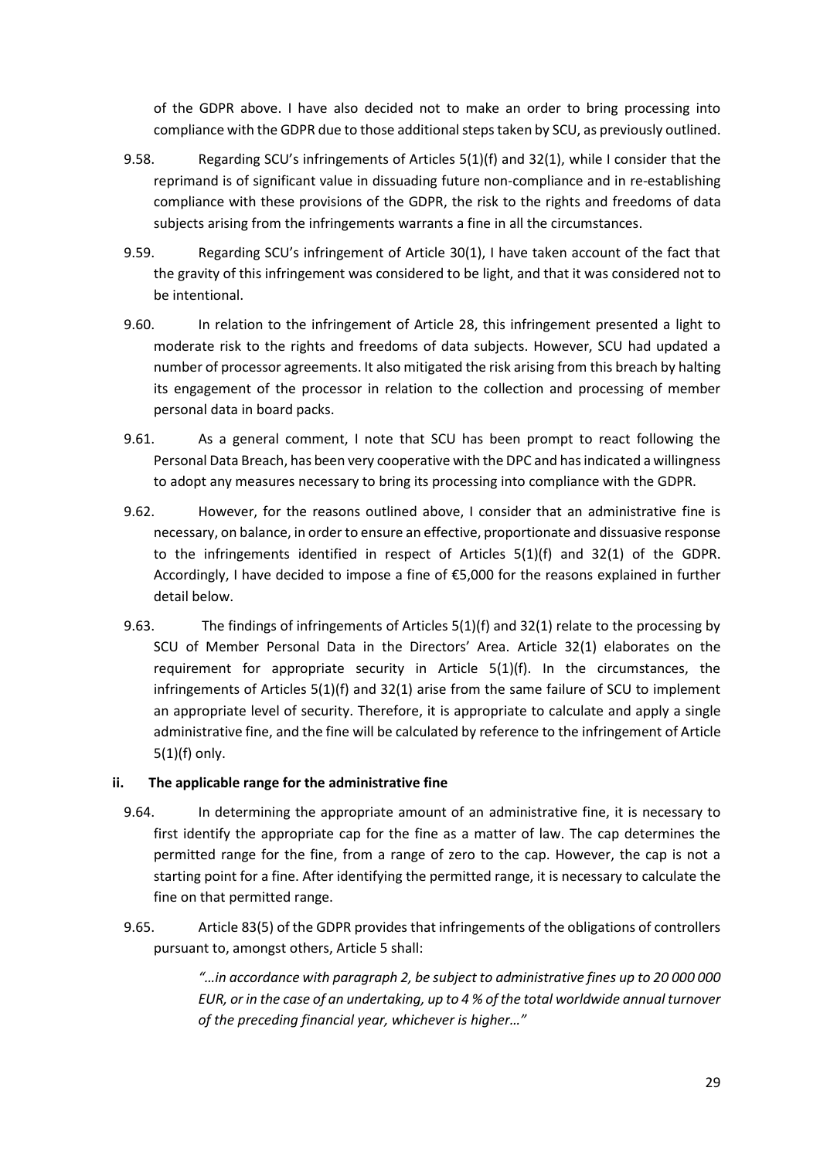of the GDPR above. I have also decided not to make an order to bring processing into compliance with the GDPR due to those additional steps taken by SCU, as previously outlined.

- 9.58. Regarding SCU's infringements of Articles 5(1)(f) and 32(1), while I consider that the reprimand is of significant value in dissuading future non-compliance and in re-establishing compliance with these provisions of the GDPR, the risk to the rights and freedoms of data subjects arising from the infringements warrants a fine in all the circumstances.
- 9.59. Regarding SCU's infringement of Article 30(1), I have taken account of the fact that the gravity of this infringement was considered to be light, and that it was considered not to be intentional.
- 9.60. In relation to the infringement of Article 28, this infringement presented a light to moderate risk to the rights and freedoms of data subjects. However, SCU had updated a number of processor agreements. It also mitigated the risk arising from this breach by halting its engagement of the processor in relation to the collection and processing of member personal data in board packs.
- 9.61. As a general comment, I note that SCU has been prompt to react following the Personal Data Breach, has been very cooperative with the DPC and has indicated a willingness to adopt any measures necessary to bring its processing into compliance with the GDPR.
- 9.62. However, for the reasons outlined above, I consider that an administrative fine is necessary, on balance, in order to ensure an effective, proportionate and dissuasive response to the infringements identified in respect of Articles 5(1)(f) and 32(1) of the GDPR. Accordingly, I have decided to impose a fine of €5,000 for the reasons explained in further detail below.
- 9.63. The findings of infringements of Articles 5(1)(f) and 32(1) relate to the processing by SCU of Member Personal Data in the Directors' Area. Article 32(1) elaborates on the requirement for appropriate security in Article  $5(1)(f)$ . In the circumstances, the infringements of Articles 5(1)(f) and 32(1) arise from the same failure of SCU to implement an appropriate level of security. Therefore, it is appropriate to calculate and apply a single administrative fine, and the fine will be calculated by reference to the infringement of Article 5(1)(f) only.

### **ii. The applicable range for the administrative fine**

- 9.64. In determining the appropriate amount of an administrative fine, it is necessary to first identify the appropriate cap for the fine as a matter of law. The cap determines the permitted range for the fine, from a range of zero to the cap. However, the cap is not a starting point for a fine. After identifying the permitted range, it is necessary to calculate the fine on that permitted range.
- 9.65. Article 83(5) of the GDPR provides that infringements of the obligations of controllers pursuant to, amongst others, Article 5 shall:

*"…in accordance with paragraph 2, be subject to administrative fines up to 20 000 000 EUR, or in the case of an undertaking, up to 4 % of the total worldwide annual turnover of the preceding financial year, whichever is higher…"*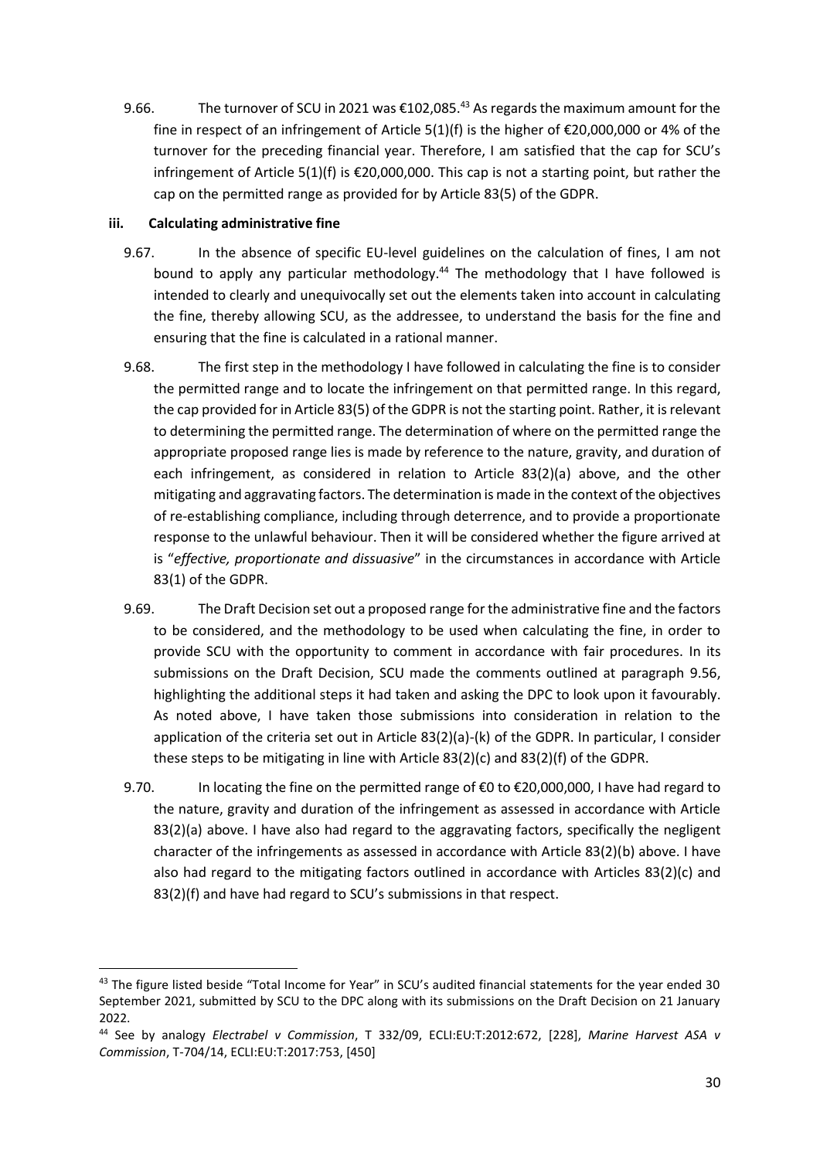9.66. The turnover of SCU in 2021 was €102,085.<sup>43</sup> As regards the maximum amount for the fine in respect of an infringement of Article 5(1)(f) is the higher of €20,000,000 or 4% of the turnover for the preceding financial year. Therefore, I am satisfied that the cap for SCU's infringement of Article 5(1)(f) is €20,000,000. This cap is not a starting point, but rather the cap on the permitted range as provided for by Article 83(5) of the GDPR.

### **iii. Calculating administrative fine**

- 9.67. In the absence of specific EU-level guidelines on the calculation of fines, I am not bound to apply any particular methodology.<sup>44</sup> The methodology that I have followed is intended to clearly and unequivocally set out the elements taken into account in calculating the fine, thereby allowing SCU, as the addressee, to understand the basis for the fine and ensuring that the fine is calculated in a rational manner.
- 9.68. The first step in the methodology I have followed in calculating the fine is to consider the permitted range and to locate the infringement on that permitted range. In this regard, the cap provided for in Article 83(5) of the GDPR is not the starting point. Rather, it is relevant to determining the permitted range. The determination of where on the permitted range the appropriate proposed range lies is made by reference to the nature, gravity, and duration of each infringement, as considered in relation to Article 83(2)(a) above, and the other mitigating and aggravating factors. The determination is made in the context of the objectives of re-establishing compliance, including through deterrence, and to provide a proportionate response to the unlawful behaviour. Then it will be considered whether the figure arrived at is "*effective, proportionate and dissuasive*" in the circumstances in accordance with Article 83(1) of the GDPR.
- 9.69. The Draft Decision set out a proposed range for the administrative fine and the factors to be considered, and the methodology to be used when calculating the fine, in order to provide SCU with the opportunity to comment in accordance with fair procedures. In its submissions on the Draft Decision, SCU made the comments outlined at paragraph [9.56,](#page-27-0) highlighting the additional steps it had taken and asking the DPC to look upon it favourably. As noted above, I have taken those submissions into consideration in relation to the application of the criteria set out in Article 83(2)(a)-(k) of the GDPR. In particular, I consider these steps to be mitigating in line with Article 83(2)(c) and 83(2)(f) of the GDPR.
- 9.70. In locating the fine on the permitted range of €0 to €20,000,000, I have had regard to the nature, gravity and duration of the infringement as assessed in accordance with Article 83(2)(a) above. I have also had regard to the aggravating factors, specifically the negligent character of the infringements as assessed in accordance with Article 83(2)(b) above. I have also had regard to the mitigating factors outlined in accordance with Articles 83(2)(c) and 83(2)(f) and have had regard to SCU's submissions in that respect.

<sup>43</sup> The figure listed beside "Total Income for Year" in SCU's audited financial statements for the year ended 30 September 2021, submitted by SCU to the DPC along with its submissions on the Draft Decision on 21 January 2022.

<sup>44</sup> See by analogy *Electrabel v Commission*, T 332/09, ECLI:EU:T:2012:672, [228], *Marine Harvest ASA v Commission*, T-704/14, ECLI:EU:T:2017:753, [450]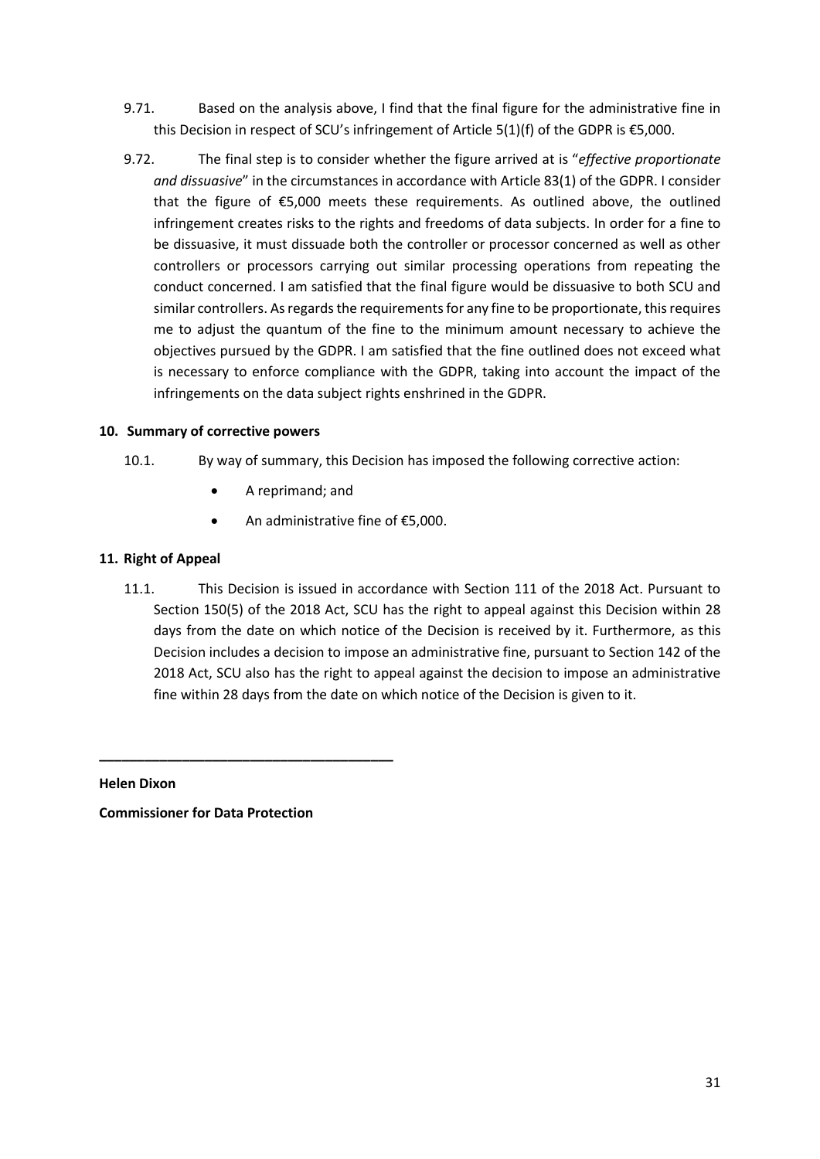- 9.71. Based on the analysis above, I find that the final figure for the administrative fine in this Decision in respect of SCU's infringement of Article 5(1)(f) of the GDPR is  $£5,000$ .
- 9.72. The final step is to consider whether the figure arrived at is "*effective proportionate and dissuasive*" in the circumstances in accordance with Article 83(1) of the GDPR. I consider that the figure of  $\epsilon$ 5,000 meets these requirements. As outlined above, the outlined infringement creates risks to the rights and freedoms of data subjects. In order for a fine to be dissuasive, it must dissuade both the controller or processor concerned as well as other controllers or processors carrying out similar processing operations from repeating the conduct concerned. I am satisfied that the final figure would be dissuasive to both SCU and similar controllers. As regards the requirements for any fine to be proportionate, this requires me to adjust the quantum of the fine to the minimum amount necessary to achieve the objectives pursued by the GDPR. I am satisfied that the fine outlined does not exceed what is necessary to enforce compliance with the GDPR, taking into account the impact of the infringements on the data subject rights enshrined in the GDPR.

### <span id="page-30-0"></span>**10. Summary of corrective powers**

- 10.1. By way of summary, this Decision has imposed the following corrective action:
	- A reprimand; and
	- An administrative fine of €5,000.

### <span id="page-30-1"></span>**11. Right of Appeal**

11.1. This Decision is issued in accordance with Section 111 of the 2018 Act. Pursuant to Section 150(5) of the 2018 Act, SCU has the right to appeal against this Decision within 28 days from the date on which notice of the Decision is received by it. Furthermore, as this Decision includes a decision to impose an administrative fine, pursuant to Section 142 of the 2018 Act, SCU also has the right to appeal against the decision to impose an administrative fine within 28 days from the date on which notice of the Decision is given to it.

**Helen Dixon**

**Commissioner for Data Protection**

**\_\_\_\_\_\_\_\_\_\_\_\_\_\_\_\_\_\_\_\_\_\_\_\_\_\_\_\_\_\_\_\_\_\_\_\_\_\_\_**